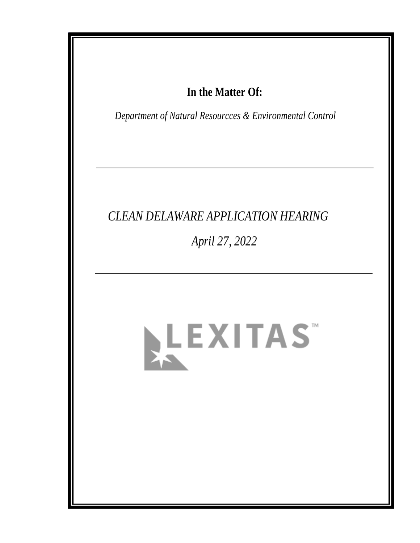# In the Matter Of:

Department of Natural Resourcces & Environmental Control

# **CLEAN DELAWARE APPLICATION HEARING**

April 27, 2022

# LEXITAS"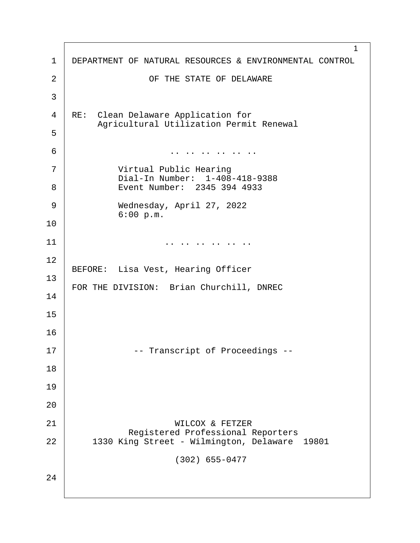1 1 | DEPARTMENT OF NATURAL RESOURCES & ENVIRONMENTAL CONTROL 2 | CF THE STATE OF DELAWARE ·3 4 | RE: Clean Delaware Application for Agricultural Utilization Permit Renewal ·5 ·6· · · · · · · · · · · .. .. .. .. .. .. 7 | **Wirtual Public Hearing** Dial-In Number: 1-408-418-9388 8 | Event Number: 2345 394 4933 9 | Wednesday, April 27, 2022  $6:00 p.m.$ 10  $11$   $\vert$ 12 BEFORE: Lisa Vest, Hearing Officer 13 FOR THE DIVISION: Brian Churchill, DNREC 14 15 16 17· · · · · · · ·-- Transcript of Proceedings -- 18 19 20 21 | WILCOX & FETZER Registered Professional Reporters |<br>22 1330 King Street - Wilmington, Delaware 1330 King Street - Wilmington, Delaware 19801  $(302)$  655-0477 24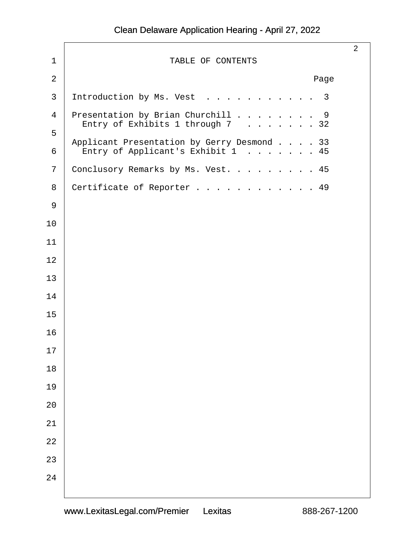|             |                                                                                    | $\overline{2}$ |
|-------------|------------------------------------------------------------------------------------|----------------|
| $\mathbf 1$ | TABLE OF CONTENTS                                                                  |                |
| $\sqrt{2}$  | Page                                                                               |                |
| 3           | Introduction by Ms. Vest<br>$\overline{3}$                                         |                |
| 4           | Presentation by Brian Churchill 9                                                  |                |
| 5           | Entry of Exhibits 1 through $7 \cdot \cdot \cdot \cdot \cdot \cdot 32$             |                |
| 6           | Applicant Presentation by Gerry Desmond 33<br>Entry of Applicant's Exhibit 1<br>45 |                |
| 7           | Conclusory Remarks by Ms. Vest. 45                                                 |                |
| 8           | Certificate of Reporter 49                                                         |                |
| 9           |                                                                                    |                |
| 10          |                                                                                    |                |
| 11          |                                                                                    |                |
| 12          |                                                                                    |                |
| 13          |                                                                                    |                |
| 14          |                                                                                    |                |
| 15          |                                                                                    |                |
| 16          |                                                                                    |                |
| 17          |                                                                                    |                |
| $18\,$      |                                                                                    |                |
| 19          |                                                                                    |                |
| 20          |                                                                                    |                |
| 21          |                                                                                    |                |
| 22          |                                                                                    |                |
| 23          |                                                                                    |                |
| 24          |                                                                                    |                |
|             |                                                                                    |                |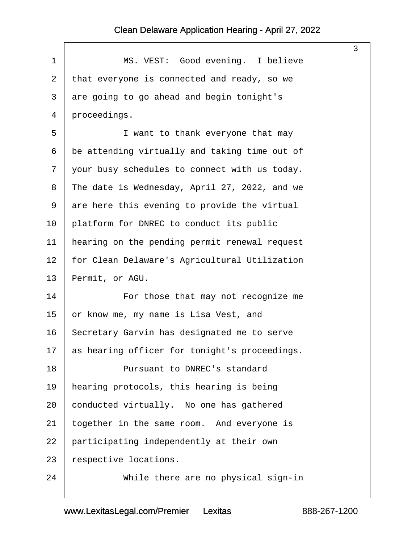$\sqrt{ }$ 

<span id="page-3-0"></span>

| 1              | MS. VEST: Good evening. I believe             |
|----------------|-----------------------------------------------|
| $\overline{2}$ | that everyone is connected and ready, so we   |
| 3              | are going to go ahead and begin tonight's     |
| 4              | proceedings.                                  |
| 5              | I want to thank everyone that may             |
| 6              | be attending virtually and taking time out of |
| 7              | your busy schedules to connect with us today. |
| 8              | The date is Wednesday, April 27, 2022, and we |
| 9              | are here this evening to provide the virtual  |
| 10             | platform for DNREC to conduct its public      |
| 11             | hearing on the pending permit renewal request |
| 12             | for Clean Delaware's Agricultural Utilization |
| 13             | Permit, or AGU.                               |
| 14             | For those that may not recognize me           |
| 15             | or know me, my name is Lisa Vest, and         |
| 16             | Secretary Garvin has designated me to serve   |
| 17             | as hearing officer for tonight's proceedings. |
| 18             | Pursuant to DNREC's standard                  |
| 19             | hearing protocols, this hearing is being      |
| 20             | conducted virtually. No one has gathered      |
| 21             | together in the same room. And everyone is    |
| 22             | participating independently at their own      |
| 23             | respective locations.                         |
| 24             | While there are no physical sign-in           |

3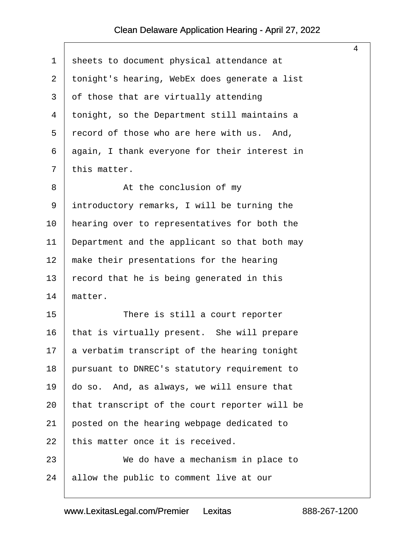$\sqrt{ }$ 

<span id="page-4-0"></span>

|                |                                               | $\overline{4}$ |
|----------------|-----------------------------------------------|----------------|
| $\mathbf 1$    | sheets to document physical attendance at     |                |
| $\overline{2}$ | tonight's hearing, WebEx does generate a list |                |
| 3              | of those that are virtually attending         |                |
| 4              | tonight, so the Department still maintains a  |                |
| 5              | record of those who are here with us. And,    |                |
| 6              | again, I thank everyone for their interest in |                |
| 7              | this matter.                                  |                |
| 8              | At the conclusion of my                       |                |
| 9              | introductory remarks, I will be turning the   |                |
| 10             | hearing over to representatives for both the  |                |
| 11             | Department and the applicant so that both may |                |
| 12             | make their presentations for the hearing      |                |
| 13             | record that he is being generated in this     |                |
| 14             | matter.                                       |                |
| 15             | There is still a court reporter               |                |
| 16             | that is virtually present. She will prepare   |                |
| 17             | a verbatim transcript of the hearing tonight  |                |
| 18             | pursuant to DNREC's statutory requirement to  |                |
| 19             | do so. And, as always, we will ensure that    |                |
| 20             | that transcript of the court reporter will be |                |
| 21             | posted on the hearing webpage dedicated to    |                |
| 22             | this matter once it is received.              |                |
| 23             | We do have a mechanism in place to            |                |
| 24             | allow the public to comment live at our       |                |
|                |                                               |                |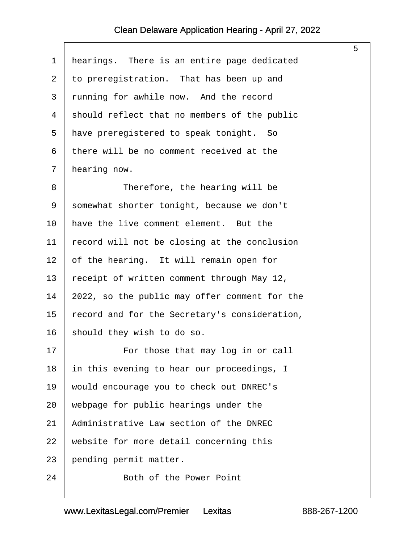$\lceil$ 

<span id="page-5-0"></span>

| 1              | hearings. There is an entire page dedicated   |
|----------------|-----------------------------------------------|
| $\overline{2}$ | to preregistration. That has been up and      |
| 3              | running for awhile now. And the record        |
| 4              | should reflect that no members of the public  |
| 5              | have preregistered to speak tonight. So       |
| 6              | there will be no comment received at the      |
| 7              | hearing now.                                  |
| 8              | Therefore, the hearing will be                |
| 9              | somewhat shorter tonight, because we don't    |
| 10             | have the live comment element. But the        |
| 11             | record will not be closing at the conclusion  |
| 12             | of the hearing. It will remain open for       |
| 13             | receipt of written comment through May 12,    |
| 14             | 2022, so the public may offer comment for the |
| 15             | record and for the Secretary's consideration, |
| 16             | should they wish to do so.                    |
| 17             | For those that may log in or call             |
| 18             | in this evening to hear our proceedings, I    |
| 19             | would encourage you to check out DNREC's      |
| 20             | webpage for public hearings under the         |
| 21             | Administrative Law section of the DNREC       |
| 22             | website for more detail concerning this       |
| 23             | pending permit matter.                        |
| 24             | Both of the Power Point                       |

5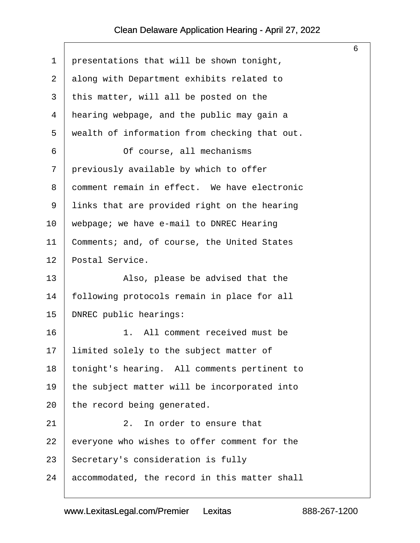<span id="page-6-0"></span>

|    |                                               | 6 |
|----|-----------------------------------------------|---|
| 1  | presentations that will be shown tonight,     |   |
| 2  | along with Department exhibits related to     |   |
| 3  | this matter, will all be posted on the        |   |
| 4  | hearing webpage, and the public may gain a    |   |
| 5  | wealth of information from checking that out. |   |
| 6  | Of course, all mechanisms                     |   |
| 7  | previously available by which to offer        |   |
| 8  | comment remain in effect. We have electronic  |   |
| 9  | links that are provided right on the hearing  |   |
| 10 | webpage; we have e-mail to DNREC Hearing      |   |
| 11 | Comments; and, of course, the United States   |   |
| 12 | Postal Service.                               |   |
| 13 | Also, please be advised that the              |   |
| 14 | following protocols remain in place for all   |   |
| 15 | DNREC public hearings:                        |   |
| 16 | 1. All comment received must be               |   |
| 17 | limited solely to the subject matter of       |   |
| 18 | tonight's hearing. All comments pertinent to  |   |
| 19 | the subject matter will be incorporated into  |   |
| 20 | the record being generated.                   |   |
| 21 | In order to ensure that<br>$2$ .              |   |
| 22 | everyone who wishes to offer comment for the  |   |
| 23 | Secretary's consideration is fully            |   |
| 24 | accommodated, the record in this matter shall |   |
|    |                                               |   |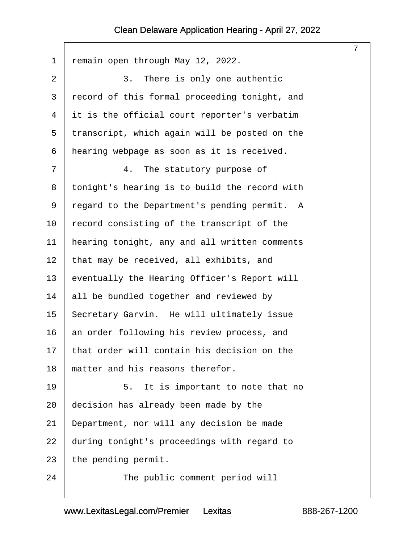<span id="page-7-0"></span>

|                |                                               | $\overline{7}$ |
|----------------|-----------------------------------------------|----------------|
| $\mathbf 1$    | remain open through May 12, 2022.             |                |
| 2              | 3.<br>There is only one authentic             |                |
| $\mathfrak{Z}$ | record of this formal proceeding tonight, and |                |
| 4              | it is the official court reporter's verbatim  |                |
| 5              | transcript, which again will be posted on the |                |
| 6              | hearing webpage as soon as it is received.    |                |
| 7              | The statutory purpose of<br>4.                |                |
| 8              | tonight's hearing is to build the record with |                |
| 9              | regard to the Department's pending permit. A  |                |
| 10             | record consisting of the transcript of the    |                |
| 11             | hearing tonight, any and all written comments |                |
| 12             | that may be received, all exhibits, and       |                |
| 13             | eventually the Hearing Officer's Report will  |                |
| 14             | all be bundled together and reviewed by       |                |
| 15             | Secretary Garvin. He will ultimately issue    |                |
| 16             | an order following his review process, and    |                |
| 17             | that order will contain his decision on the   |                |
| 18             | matter and his reasons therefor.              |                |
| 19             | 5.<br>It is important to note that no         |                |
| 20             | decision has already been made by the         |                |
| 21             | Department, nor will any decision be made     |                |
| 22             | during tonight's proceedings with regard to   |                |
| 23             | the pending permit.                           |                |
| 24             | The public comment period will                |                |
|                |                                               |                |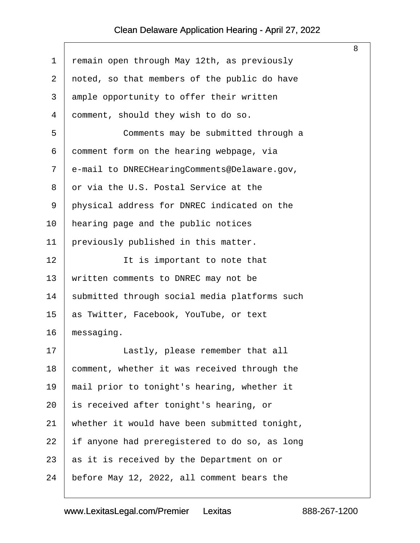<span id="page-8-0"></span>

|    |                                               | 8 |
|----|-----------------------------------------------|---|
| 1  | remain open through May 12th, as previously   |   |
| 2  | noted, so that members of the public do have  |   |
| 3  | ample opportunity to offer their written      |   |
| 4  | comment, should they wish to do so.           |   |
| 5  | Comments may be submitted through a           |   |
| 6  | comment form on the hearing webpage, via      |   |
| 7  | e-mail to DNRECHearingComments@Delaware.gov,  |   |
| 8  | or via the U.S. Postal Service at the         |   |
| 9  | physical address for DNREC indicated on the   |   |
| 10 | hearing page and the public notices           |   |
| 11 | previously published in this matter.          |   |
| 12 | It is important to note that                  |   |
| 13 | written comments to DNREC may not be          |   |
| 14 | submitted through social media platforms such |   |
| 15 | as Twitter, Facebook, YouTube, or text        |   |
| 16 | messaging.                                    |   |
| 17 | Lastly, please remember that all              |   |
| 18 | comment, whether it was received through the  |   |
| 19 | mail prior to tonight's hearing, whether it   |   |
| 20 | is received after tonight's hearing, or       |   |
| 21 | whether it would have been submitted tonight, |   |
| 22 | if anyone had preregistered to do so, as long |   |
| 23 | as it is received by the Department on or     |   |
| 24 | before May 12, 2022, all comment bears the    |   |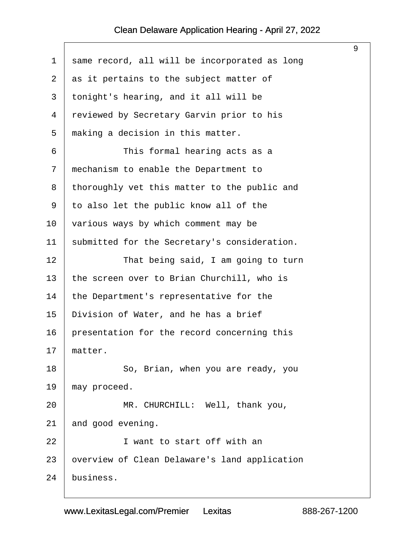<span id="page-9-0"></span>

|             |                                               | 9 |
|-------------|-----------------------------------------------|---|
| $\mathbf 1$ | same record, all will be incorporated as long |   |
| 2           | as it pertains to the subject matter of       |   |
| 3           | tonight's hearing, and it all will be         |   |
| 4           | reviewed by Secretary Garvin prior to his     |   |
| 5           | making a decision in this matter.             |   |
| 6           | This formal hearing acts as a                 |   |
| 7           | mechanism to enable the Department to         |   |
| 8           | thoroughly vet this matter to the public and  |   |
| 9           | to also let the public know all of the        |   |
| 10          | various ways by which comment may be          |   |
| 11          | submitted for the Secretary's consideration.  |   |
| 12          | That being said, I am going to turn           |   |
| 13          | the screen over to Brian Churchill, who is    |   |
| 14          | the Department's representative for the       |   |
| 15          | Division of Water, and he has a brief         |   |
| 16          | presentation for the record concerning this   |   |
| 17          | matter.                                       |   |
| 18          | So, Brian, when you are ready, you            |   |
| 19          | may proceed.                                  |   |
| 20          | MR. CHURCHILL: Well, thank you,               |   |
| 21          | and good evening.                             |   |
| 22          | I want to start off with an                   |   |
| 23          | overview of Clean Delaware's land application |   |
| 24          | business.                                     |   |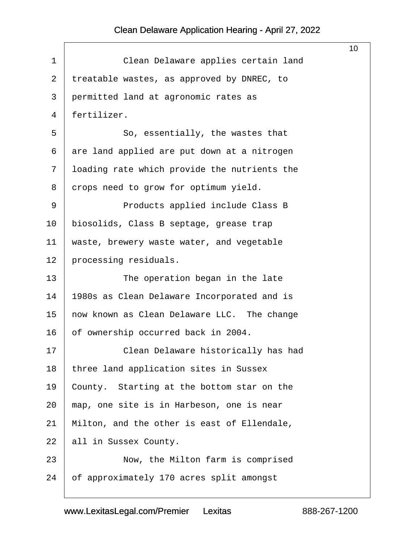$\sqrt{ }$ 

<span id="page-10-0"></span>

|                                              | 10 <sup>°</sup> |
|----------------------------------------------|-----------------|
| Clean Delaware applies certain land          |                 |
| treatable wastes, as approved by DNREC, to   |                 |
| permitted land at agronomic rates as         |                 |
| fertilizer.                                  |                 |
| So, essentially, the wastes that             |                 |
| are land applied are put down at a nitrogen  |                 |
| loading rate which provide the nutrients the |                 |
| crops need to grow for optimum yield.        |                 |
| Products applied include Class B             |                 |
| biosolids, Class B septage, grease trap      |                 |
| waste, brewery waste water, and vegetable    |                 |
| processing residuals.                        |                 |
| The operation began in the late              |                 |
| 1980s as Clean Delaware Incorporated and is  |                 |
| now known as Clean Delaware LLC. The change  |                 |
| of ownership occurred back in 2004.          |                 |
| Clean Delaware historically has had          |                 |
| three land application sites in Sussex       |                 |
| County. Starting at the bottom star on the   |                 |
| map, one site is in Harbeson, one is near    |                 |
| Milton, and the other is east of Ellendale,  |                 |
| all in Sussex County.                        |                 |
| Now, the Milton farm is comprised            |                 |
| of approximately 170 acres split amongst     |                 |
|                                              |                 |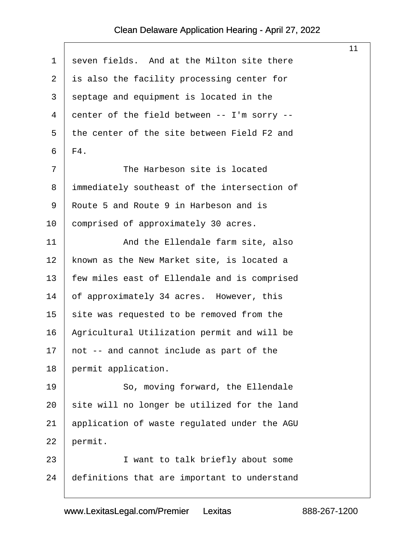$\sqrt{ }$ 

<span id="page-11-0"></span>

|                |                                              | 11 |
|----------------|----------------------------------------------|----|
| 1              | seven fields. And at the Milton site there   |    |
| $\overline{a}$ | is also the facility processing center for   |    |
| 3              | septage and equipment is located in the      |    |
| 4              | center of the field between -- I'm sorry --  |    |
| 5              | the center of the site between Field F2 and  |    |
| 6              | F4.                                          |    |
| 7              | The Harbeson site is located                 |    |
| 8              | immediately southeast of the intersection of |    |
| 9              | Route 5 and Route 9 in Harbeson and is       |    |
| 10             | comprised of approximately 30 acres.         |    |
| 11             | And the Ellendale farm site, also            |    |
| 12             | known as the New Market site, is located a   |    |
| 13             | few miles east of Ellendale and is comprised |    |
| 14             | of approximately 34 acres. However, this     |    |
| 15             | site was requested to be removed from the    |    |
| 16             | Agricultural Utilization permit and will be  |    |
| 17             | not -- and cannot include as part of the     |    |
| 18             | permit application.                          |    |
| 19             | So, moving forward, the Ellendale            |    |
| 20             | site will no longer be utilized for the land |    |
| 21             | application of waste regulated under the AGU |    |
| 22             | permit.                                      |    |
| 23             | I want to talk briefly about some            |    |
| 24             | definitions that are important to understand |    |
|                |                                              |    |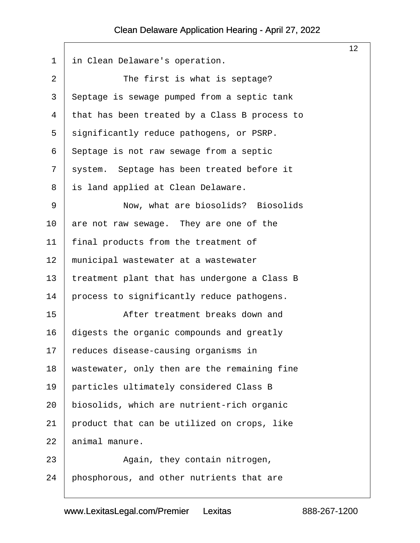<span id="page-12-0"></span>

|                |                                               | 12 <sub>2</sub> |
|----------------|-----------------------------------------------|-----------------|
| $\mathbf 1$    | in Clean Delaware's operation.                |                 |
| $\overline{2}$ | The first is what is septage?                 |                 |
| $\mathfrak{Z}$ | Septage is sewage pumped from a septic tank   |                 |
| 4              | that has been treated by a Class B process to |                 |
| 5              | significantly reduce pathogens, or PSRP.      |                 |
| 6              | Septage is not raw sewage from a septic       |                 |
| 7              | system. Septage has been treated before it    |                 |
| 8              | is land applied at Clean Delaware.            |                 |
| 9              | Now, what are biosolids? Biosolids            |                 |
| 10             | are not raw sewage. They are one of the       |                 |
| 11             | final products from the treatment of          |                 |
| 12             | municipal wastewater at a wastewater          |                 |
| 13             | treatment plant that has undergone a Class B  |                 |
| 14             | process to significantly reduce pathogens.    |                 |
| 15             | After treatment breaks down and               |                 |
| 16             | digests the organic compounds and greatly     |                 |
| 17             | reduces disease-causing organisms in          |                 |
| 18             | wastewater, only then are the remaining fine  |                 |
| 19             | particles ultimately considered Class B       |                 |
| 20             | biosolids, which are nutrient-rich organic    |                 |
| 21             | product that can be utilized on crops, like   |                 |
| 22             | animal manure.                                |                 |
| 23             | Again, they contain nitrogen,                 |                 |
| 24             | phosphorous, and other nutrients that are     |                 |
|                |                                               |                 |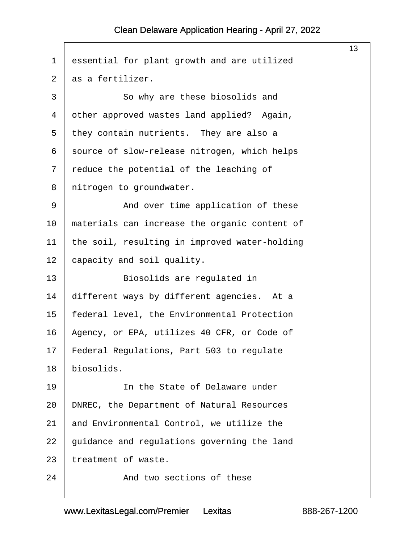<span id="page-13-0"></span>

| $\mathbf 1$ | essential for plant growth and are utilized   |
|-------------|-----------------------------------------------|
| 2           | as a fertilizer.                              |
| 3           | So why are these biosolids and                |
| 4           | other approved wastes land applied? Again,    |
| 5           | they contain nutrients. They are also a       |
| 6           | source of slow-release nitrogen, which helps  |
| 7           | reduce the potential of the leaching of       |
| 8           | nitrogen to groundwater.                      |
| 9           | And over time application of these            |
| 10          | materials can increase the organic content of |
| 11          | the soil, resulting in improved water-holding |
| 12          | capacity and soil quality.                    |
| 13          | Biosolids are regulated in                    |
| 14          | different ways by different agencies. At a    |
| 15          | federal level, the Environmental Protection   |
| 16          | Agency, or EPA, utilizes 40 CFR, or Code of   |
| 17          | Federal Regulations, Part 503 to regulate     |
| 18          | biosolids.                                    |
| 19          | In the State of Delaware under                |
| 20          | DNREC, the Department of Natural Resources    |
| 21          | and Environmental Control, we utilize the     |
| 22          | guidance and regulations governing the land   |
| 23          | treatment of waste.                           |
| 24          | And two sections of these                     |
|             |                                               |

13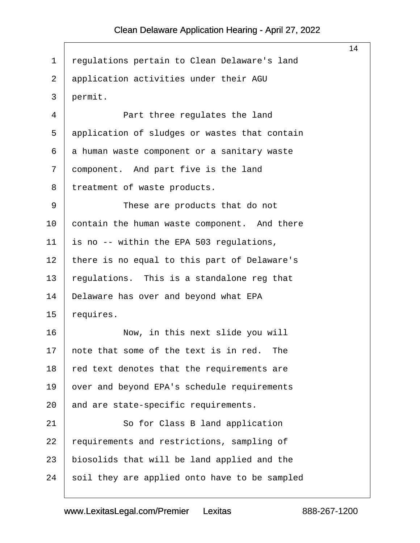<span id="page-14-0"></span>

|    |                                               | 14 |
|----|-----------------------------------------------|----|
| 1  | regulations pertain to Clean Delaware's land  |    |
| 2  | application activities under their AGU        |    |
| 3  | permit.                                       |    |
| 4  | Part three regulates the land                 |    |
| 5  | application of sludges or wastes that contain |    |
| 6  | a human waste component or a sanitary waste   |    |
| 7  | component. And part five is the land          |    |
| 8  | treatment of waste products.                  |    |
| 9  | These are products that do not                |    |
| 10 | contain the human waste component. And there  |    |
| 11 | is no -- within the EPA 503 regulations,      |    |
| 12 | there is no equal to this part of Delaware's  |    |
| 13 | regulations. This is a standalone reg that    |    |
| 14 | Delaware has over and beyond what EPA         |    |
| 15 | requires.                                     |    |
| 16 | Now, in this next slide you will              |    |
| 17 | note that some of the text is in red.<br>The  |    |
| 18 | red text denotes that the requirements are    |    |
| 19 | over and beyond EPA's schedule requirements   |    |
| 20 | and are state-specific requirements.          |    |
| 21 | So for Class B land application               |    |
| 22 | requirements and restrictions, sampling of    |    |
| 23 | biosolids that will be land applied and the   |    |
| 24 | soil they are applied onto have to be sampled |    |
|    |                                               |    |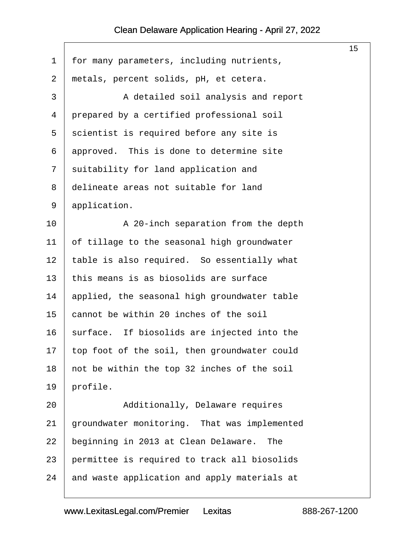<span id="page-15-0"></span>

|             |                                              | 15 |
|-------------|----------------------------------------------|----|
| $\mathbf 1$ | for many parameters, including nutrients,    |    |
| 2           | metals, percent solids, pH, et cetera.       |    |
| 3           | A detailed soil analysis and report          |    |
| 4           | prepared by a certified professional soil    |    |
| 5           | scientist is required before any site is     |    |
| 6           | approved. This is done to determine site     |    |
| 7           | suitability for land application and         |    |
| 8           | delineate areas not suitable for land        |    |
| 9           | application.                                 |    |
| 10          | A 20-inch separation from the depth          |    |
| 11          | of tillage to the seasonal high groundwater  |    |
| 12          | table is also required. So essentially what  |    |
| 13          | this means is as biosolids are surface       |    |
| 14          | applied, the seasonal high groundwater table |    |
| 15          | cannot be within 20 inches of the soil       |    |
| 16          | surface. If biosolids are injected into the  |    |
| 17          | top foot of the soil, then groundwater could |    |
| 18          | not be within the top 32 inches of the soil  |    |
| 19          | profile.                                     |    |
| 20          | Additionally, Delaware requires              |    |
| 21          | groundwater monitoring. That was implemented |    |
| 22          | beginning in 2013 at Clean Delaware.<br>The  |    |
| 23          | permittee is required to track all biosolids |    |
| 24          | and waste application and apply materials at |    |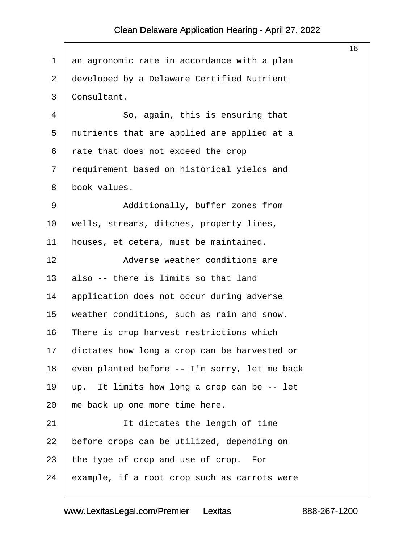$\sqrt{ }$ 

<span id="page-16-0"></span>

|             |                                               | 16 |
|-------------|-----------------------------------------------|----|
| $\mathbf 1$ | an agronomic rate in accordance with a plan   |    |
| 2           | developed by a Delaware Certified Nutrient    |    |
| 3           | Consultant.                                   |    |
| 4           | So, again, this is ensuring that              |    |
| 5           | nutrients that are applied are applied at a   |    |
| 6           | rate that does not exceed the crop            |    |
| 7           | requirement based on historical yields and    |    |
| 8           | book values.                                  |    |
| 9           | Additionally, buffer zones from               |    |
| $10 \,$     | wells, streams, ditches, property lines,      |    |
| 11          | houses, et cetera, must be maintained.        |    |
| 12          | Adverse weather conditions are                |    |
| 13          | also -- there is limits so that land          |    |
| 14          | application does not occur during adverse     |    |
| 15          | weather conditions, such as rain and snow.    |    |
| 16          | There is crop harvest restrictions which      |    |
| 17          | dictates how long a crop can be harvested or  |    |
| 18          | even planted before -- I'm sorry, let me back |    |
| 19          | up. It limits how long a crop can be -- let   |    |
| 20          | me back up one more time here.                |    |
| 21          | It dictates the length of time                |    |
| 22          | before crops can be utilized, depending on    |    |
| 23          | the type of crop and use of crop. For         |    |
| 24          | example, if a root crop such as carrots were  |    |
|             |                                               |    |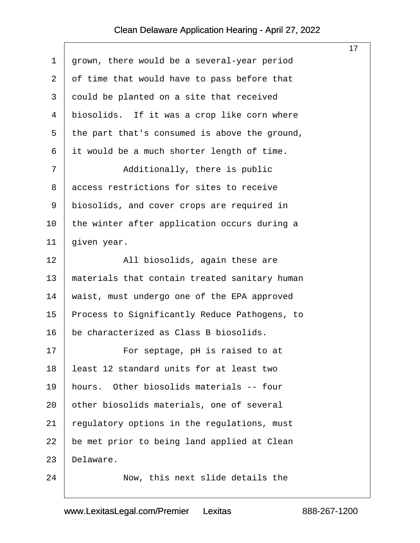$\sqrt{ }$ 

<span id="page-17-0"></span>

|             |                                               | 17 <sub>1</sub> |
|-------------|-----------------------------------------------|-----------------|
| $\mathbf 1$ | grown, there would be a several-year period   |                 |
| 2           | of time that would have to pass before that   |                 |
| 3           | could be planted on a site that received      |                 |
| 4           | biosolids. If it was a crop like corn where   |                 |
| 5           | the part that's consumed is above the ground, |                 |
| 6           | it would be a much shorter length of time.    |                 |
| 7           | Additionally, there is public                 |                 |
| 8           | access restrictions for sites to receive      |                 |
| 9           | biosolids, and cover crops are required in    |                 |
| 10          | the winter after application occurs during a  |                 |
| 11          | given year.                                   |                 |
| 12          | All biosolids, again these are                |                 |
| 13          | materials that contain treated sanitary human |                 |
| 14          | waist, must undergo one of the EPA approved   |                 |
| 15          | Process to Significantly Reduce Pathogens, to |                 |
| 16          | be characterized as Class B biosolids.        |                 |
| 17          | For septage, pH is raised to at               |                 |
| 18          | least 12 standard units for at least two      |                 |
| 19          | Other biosolids materials -- four<br>hours.   |                 |
| 20          | other biosolids materials, one of several     |                 |
| 21          | regulatory options in the regulations, must   |                 |
| 22          | be met prior to being land applied at Clean   |                 |
| 23          | Delaware.                                     |                 |
| 24          | Now, this next slide details the              |                 |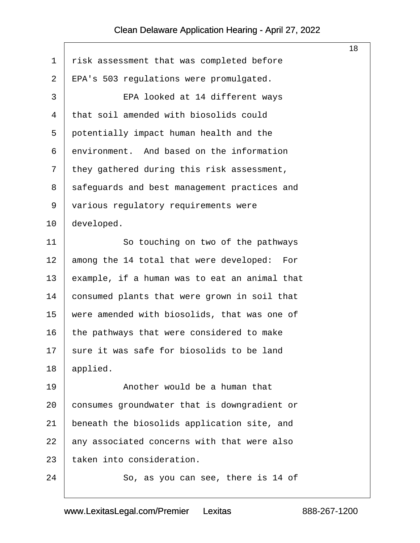<span id="page-18-0"></span>

|                |                                               | 18 |
|----------------|-----------------------------------------------|----|
| 1              | risk assessment that was completed before     |    |
| $\overline{2}$ | EPA's 503 regulations were promulgated.       |    |
| 3              | EPA looked at 14 different ways               |    |
| 4              | that soil amended with biosolids could        |    |
| 5              | potentially impact human health and the       |    |
| 6              | environment. And based on the information     |    |
| 7              | they gathered during this risk assessment,    |    |
| 8              | safeguards and best management practices and  |    |
| 9              | various regulatory requirements were          |    |
| 10             | developed.                                    |    |
| 11             | So touching on two of the pathways            |    |
| 12             | among the 14 total that were developed: For   |    |
| 13             | example, if a human was to eat an animal that |    |
| 14             | consumed plants that were grown in soil that  |    |
| 15             | were amended with biosolids, that was one of  |    |
| 16             | the pathways that were considered to make     |    |
| 17             | sure it was safe for biosolids to be land     |    |
| 18             | applied.                                      |    |
| 19             | Another would be a human that                 |    |
| 20             | consumes groundwater that is downgradient or  |    |
| 21             | beneath the biosolids application site, and   |    |
| 22             | any associated concerns with that were also   |    |
| 23             | taken into consideration.                     |    |
| 24             | So, as you can see, there is 14 of            |    |
|                |                                               |    |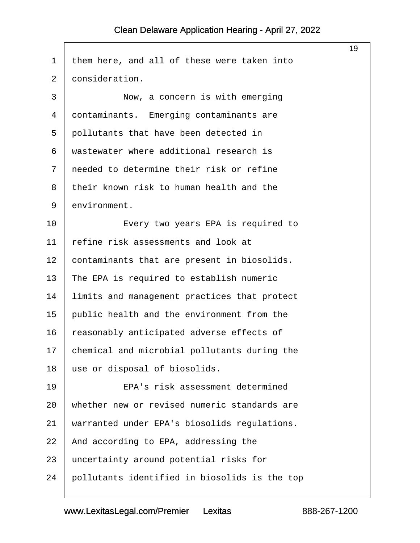$\sqrt{ }$ 

<span id="page-19-0"></span>

|                |                                               | 19 |
|----------------|-----------------------------------------------|----|
| $\mathbf 1$    | them here, and all of these were taken into   |    |
| $\overline{2}$ | consideration.                                |    |
| 3              | Now, a concern is with emerging               |    |
| 4              | contaminants. Emerging contaminants are       |    |
| 5              | pollutants that have been detected in         |    |
| 6              | wastewater where additional research is       |    |
| 7              | needed to determine their risk or refine      |    |
| 8              | their known risk to human health and the      |    |
| 9              | environment.                                  |    |
| 10             | Every two years EPA is required to            |    |
| 11             | refine risk assessments and look at           |    |
| 12             | contaminants that are present in biosolids.   |    |
| 13             | The EPA is required to establish numeric      |    |
| 14             | limits and management practices that protect  |    |
| 15             | public health and the environment from the    |    |
| 16             | reasonably anticipated adverse effects of     |    |
| 17             | chemical and microbial pollutants during the  |    |
| 18             | use or disposal of biosolids.                 |    |
| 19             | EPA's risk assessment determined              |    |
| 20             | whether new or revised numeric standards are  |    |
| 21             | warranted under EPA's biosolids regulations.  |    |
| 22             | And according to EPA, addressing the          |    |
| 23             | uncertainty around potential risks for        |    |
| 24             | pollutants identified in biosolids is the top |    |
|                |                                               |    |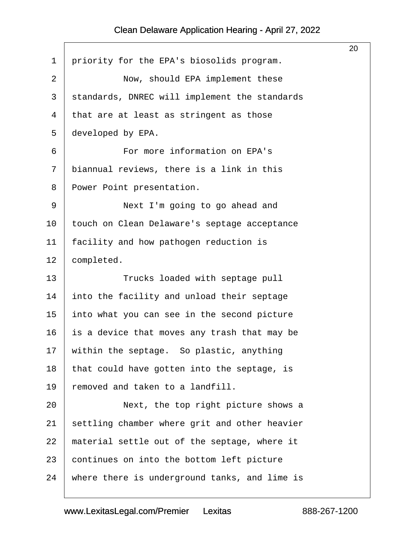$\Gamma$ 

<span id="page-20-0"></span>

|                                               | 20 |
|-----------------------------------------------|----|
| priority for the EPA's biosolids program.     |    |
| Now, should EPA implement these               |    |
| standards, DNREC will implement the standards |    |
| that are at least as stringent as those       |    |
| developed by EPA.                             |    |
| For more information on EPA's                 |    |
| biannual reviews, there is a link in this     |    |
| Power Point presentation.                     |    |
| Next I'm going to go ahead and                |    |
| touch on Clean Delaware's septage acceptance  |    |
| facility and how pathogen reduction is        |    |
| completed.                                    |    |
| Trucks loaded with septage pull               |    |
| into the facility and unload their septage    |    |
| into what you can see in the second picture   |    |
| is a device that moves any trash that may be  |    |
| within the septage. So plastic, anything      |    |
| that could have gotten into the septage, is   |    |
|                                               |    |
| removed and taken to a landfill.              |    |
| Next, the top right picture shows a           |    |
| settling chamber where grit and other heavier |    |
| material settle out of the septage, where it  |    |
| continues on into the bottom left picture     |    |
|                                               |    |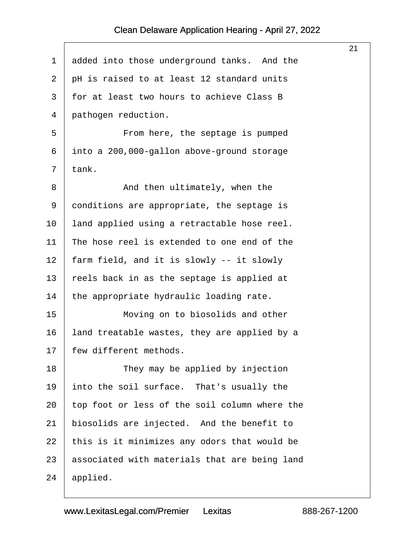<span id="page-21-0"></span>

|         |                                               | 21 |
|---------|-----------------------------------------------|----|
| 1       | added into those underground tanks. And the   |    |
| 2       | pH is raised to at least 12 standard units    |    |
| 3       | for at least two hours to achieve Class B     |    |
| 4       | pathogen reduction.                           |    |
| 5       | From here, the septage is pumped              |    |
| 6       | into a 200,000-gallon above-ground storage    |    |
| 7       | tank.                                         |    |
| 8       | And then ultimately, when the                 |    |
| 9       | conditions are appropriate, the septage is    |    |
| $10 \,$ | land applied using a retractable hose reel.   |    |
| 11      | The hose reel is extended to one end of the   |    |
| 12      | farm field, and it is slowly -- it slowly     |    |
| 13      | reels back in as the septage is applied at    |    |
| 14      | the appropriate hydraulic loading rate.       |    |
| 15      | Moving on to biosolids and other              |    |
| 16      | land treatable wastes, they are applied by a  |    |
| 17      | few different methods.                        |    |
| 18      | They may be applied by injection              |    |
| 19      | into the soil surface. That's usually the     |    |
| 20      | top foot or less of the soil column where the |    |
| 21      | biosolids are injected. And the benefit to    |    |
| 22      | this is it minimizes any odors that would be  |    |
| 23      | associated with materials that are being land |    |
| 24      | applied.                                      |    |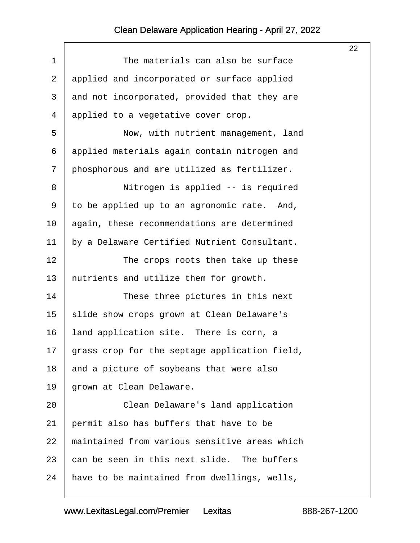<span id="page-22-0"></span>

|             |                                               | 22 |
|-------------|-----------------------------------------------|----|
| $\mathbf 1$ | The materials can also be surface             |    |
| 2           | applied and incorporated or surface applied   |    |
| 3           | and not incorporated, provided that they are  |    |
| 4           | applied to a vegetative cover crop.           |    |
| 5           | Now, with nutrient management, land           |    |
| 6           | applied materials again contain nitrogen and  |    |
| 7           | phosphorous and are utilized as fertilizer.   |    |
| 8           | Nitrogen is applied -- is required            |    |
| 9           | to be applied up to an agronomic rate. And,   |    |
| 10          | again, these recommendations are determined   |    |
| 11          | by a Delaware Certified Nutrient Consultant.  |    |
| 12          | The crops roots then take up these            |    |
| 13          | nutrients and utilize them for growth.        |    |
| 14          | These three pictures in this next             |    |
| 15          | slide show crops grown at Clean Delaware's    |    |
| 16          | land application site. There is corn, a       |    |
| 17          | grass crop for the septage application field, |    |
| 18          | and a picture of soybeans that were also      |    |
| 19          | grown at Clean Delaware.                      |    |
| 20          | Clean Delaware's land application             |    |
| 21          | permit also has buffers that have to be       |    |
| 22          | maintained from various sensitive areas which |    |
| 23          | can be seen in this next slide. The buffers   |    |
| 24          | have to be maintained from dwellings, wells,  |    |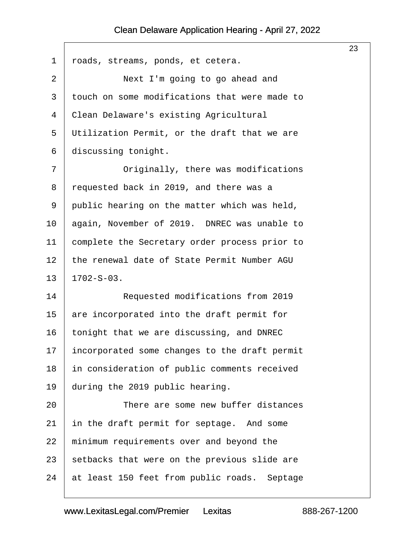<span id="page-23-0"></span>

|             |                                               | 23 |
|-------------|-----------------------------------------------|----|
| $\mathbf 1$ | roads, streams, ponds, et cetera.             |    |
| 2           | Next I'm going to go ahead and                |    |
| 3           | touch on some modifications that were made to |    |
| 4           | Clean Delaware's existing Agricultural        |    |
| 5           | Utilization Permit, or the draft that we are  |    |
| 6           | discussing tonight.                           |    |
| 7           | Originally, there was modifications           |    |
| 8           | requested back in 2019, and there was a       |    |
| 9           | public hearing on the matter which was held,  |    |
| $10 \,$     | again, November of 2019. DNREC was unable to  |    |
| 11          | complete the Secretary order process prior to |    |
| 12          | the renewal date of State Permit Number AGU   |    |
| 13          | $1702 - S - 03$ .                             |    |
| 14          | Requested modifications from 2019             |    |
| 15          | are incorporated into the draft permit for    |    |
| 16          | tonight that we are discussing, and DNREC     |    |
| 17          | incorporated some changes to the draft permit |    |
| 18          | in consideration of public comments received  |    |
| 19          | during the 2019 public hearing.               |    |
| 20          | There are some new buffer distances           |    |
| 21          | in the draft permit for septage. And some     |    |
| 22          | minimum requirements over and beyond the      |    |
| 23          | setbacks that were on the previous slide are  |    |
| 24          | at least 150 feet from public roads. Septage  |    |
|             |                                               |    |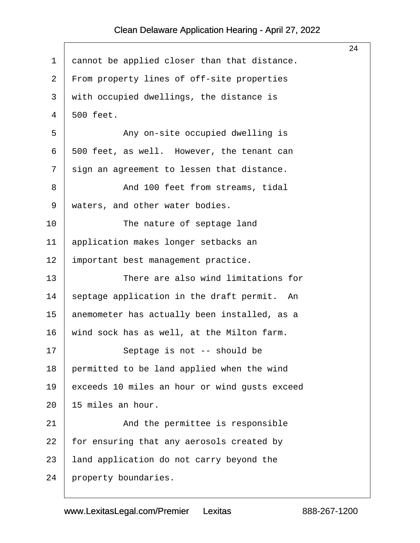<span id="page-24-0"></span>

|                |                                               | 24 |
|----------------|-----------------------------------------------|----|
| $\mathbf 1$    | cannot be applied closer than that distance.  |    |
| 2              | From property lines of off-site properties    |    |
| 3              | with occupied dwellings, the distance is      |    |
| $\overline{4}$ | 500 feet.                                     |    |
| 5              | Any on-site occupied dwelling is              |    |
| 6              | 500 feet, as well. However, the tenant can    |    |
| 7              | sign an agreement to lessen that distance.    |    |
| 8              | And 100 feet from streams, tidal              |    |
| 9              | waters, and other water bodies.               |    |
| 10             | The nature of septage land                    |    |
| 11             | application makes longer setbacks an          |    |
| 12             | important best management practice.           |    |
| 13             | There are also wind limitations for           |    |
| 14             | septage application in the draft permit. An   |    |
| 15             | anemometer has actually been installed, as a  |    |
| 16             | wind sock has as well, at the Milton farm.    |    |
| 17             | Septage is not -- should be                   |    |
| 18             | permitted to be land applied when the wind    |    |
| 19             | exceeds 10 miles an hour or wind gusts exceed |    |
| 20             | 15 miles an hour.                             |    |
| 21             | And the permittee is responsible              |    |
| 22             | for ensuring that any aerosols created by     |    |
| 23             | land application do not carry beyond the      |    |
| 24             | property boundaries.                          |    |
|                |                                               |    |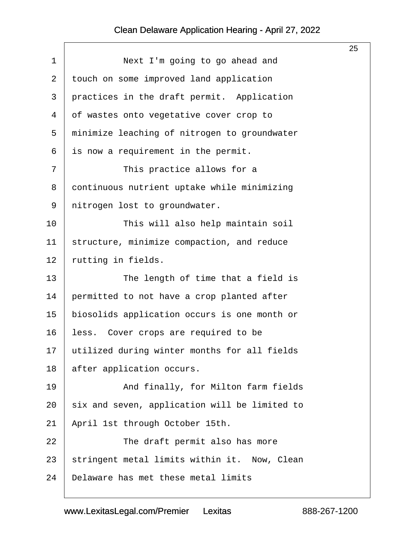<span id="page-25-0"></span>

|                |                                               | 25 |
|----------------|-----------------------------------------------|----|
| $\mathbf{1}$   | Next I'm going to go ahead and                |    |
| $\overline{2}$ | touch on some improved land application       |    |
| 3              | practices in the draft permit. Application    |    |
| 4              | of wastes onto vegetative cover crop to       |    |
| 5              | minimize leaching of nitrogen to groundwater  |    |
| 6              | is now a requirement in the permit.           |    |
| 7              | This practice allows for a                    |    |
| 8              | continuous nutrient uptake while minimizing   |    |
| 9              | nitrogen lost to groundwater.                 |    |
| 10             | This will also help maintain soil             |    |
| 11             | structure, minimize compaction, and reduce    |    |
| 12             | rutting in fields.                            |    |
| 13             | The length of time that a field is            |    |
| 14             | permitted to not have a crop planted after    |    |
| 15             | biosolids application occurs is one month or  |    |
| 16             | less. Cover crops are required to be          |    |
| 17             | utilized during winter months for all fields  |    |
| 18             | after application occurs.                     |    |
| 19             | And finally, for Milton farm fields           |    |
| 20             | six and seven, application will be limited to |    |
| 21             | April 1st through October 15th.               |    |
| 22             | The draft permit also has more                |    |
| 23             | stringent metal limits within it. Now, Clean  |    |
| 24             | Delaware has met these metal limits           |    |
|                |                                               |    |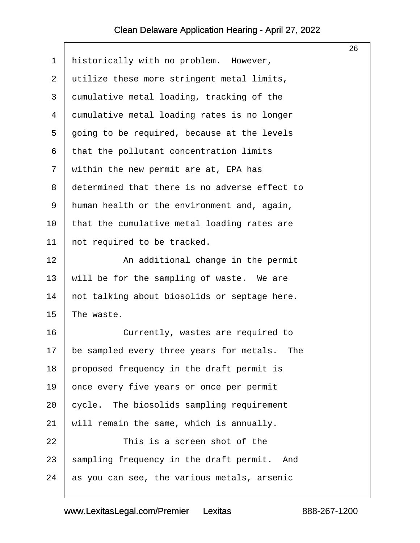<span id="page-26-0"></span>

|                |                                               | 26 |
|----------------|-----------------------------------------------|----|
| 1              | historically with no problem. However,        |    |
| 2              | utilize these more stringent metal limits,    |    |
| 3              | cumulative metal loading, tracking of the     |    |
| $\overline{4}$ | cumulative metal loading rates is no longer   |    |
| 5              | going to be required, because at the levels   |    |
| 6              | that the pollutant concentration limits       |    |
| 7              | within the new permit are at, EPA has         |    |
| 8              | determined that there is no adverse effect to |    |
| 9              | human health or the environment and, again,   |    |
| 10             | that the cumulative metal loading rates are   |    |
| 11             | not required to be tracked.                   |    |
| 12             | An additional change in the permit            |    |
| 13             | will be for the sampling of waste. We are     |    |
| 14             | not talking about biosolids or septage here.  |    |
| 15             | The waste.                                    |    |
| 16             | Currently, wastes are required to             |    |
| 17             | be sampled every three years for metals. The  |    |
| 18             | proposed frequency in the draft permit is     |    |
| 19             | once every five years or once per permit      |    |
| 20             | cycle. The biosolids sampling requirement     |    |
| 21             | will remain the same, which is annually.      |    |
| 22             | This is a screen shot of the                  |    |
| 23             | sampling frequency in the draft permit. And   |    |
| 24             | as you can see, the various metals, arsenic   |    |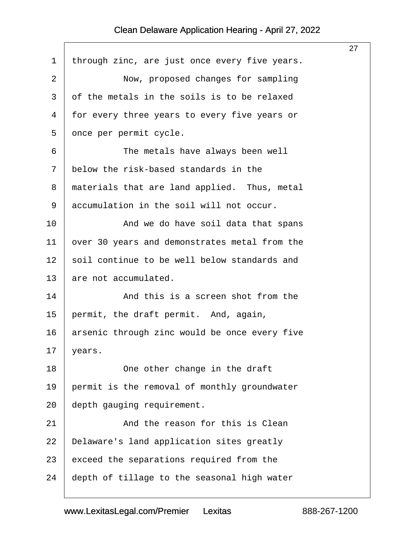<span id="page-27-0"></span>

|                |                                               | 27 |
|----------------|-----------------------------------------------|----|
| $\mathbf 1$    | through zinc, are just once every five years. |    |
| $\overline{2}$ | Now, proposed changes for sampling            |    |
| 3              | of the metals in the soils is to be relaxed   |    |
| 4              | for every three years to every five years or  |    |
| 5              | once per permit cycle.                        |    |
| 6              | The metals have always been well              |    |
| 7              | below the risk-based standards in the         |    |
| 8              | materials that are land applied. Thus, metal  |    |
| 9              | accumulation in the soil will not occur.      |    |
| 10             | And we do have soil data that spans           |    |
| 11             | over 30 years and demonstrates metal from the |    |
| 12             | soil continue to be well below standards and  |    |
| 13             | are not accumulated.                          |    |
| 14             | And this is a screen shot from the            |    |
| 15             | permit, the draft permit. And, again,         |    |
| 16             | arsenic through zinc would be once every five |    |
| 17             | years.                                        |    |
| 18             | One other change in the draft                 |    |
| 19             | permit is the removal of monthly groundwater  |    |
| 20             | depth gauging requirement.                    |    |
| 21             | And the reason for this is Clean              |    |
| 22             | Delaware's land application sites greatly     |    |
| 23             | exceed the separations required from the      |    |
| 24             | depth of tillage to the seasonal high water   |    |
|                |                                               |    |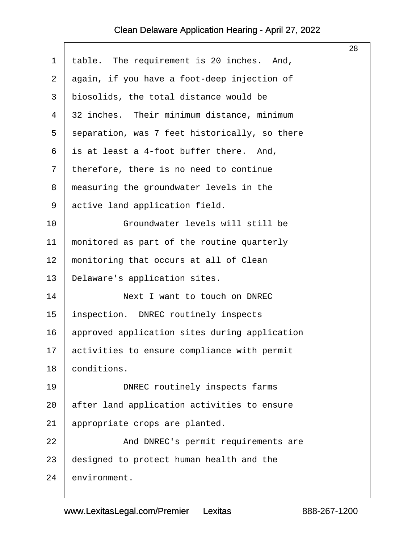$\Gamma$ 

<span id="page-28-0"></span>

|                |                                               | 28 |
|----------------|-----------------------------------------------|----|
| $\mathbf 1$    | table. The requirement is 20 inches. And,     |    |
| 2              | again, if you have a foot-deep injection of   |    |
| $\mathfrak{Z}$ | biosolids, the total distance would be        |    |
| 4              | 32 inches. Their minimum distance, minimum    |    |
| 5              | separation, was 7 feet historically, so there |    |
| 6              | is at least a 4-foot buffer there. And,       |    |
| 7              | therefore, there is no need to continue       |    |
| 8              | measuring the groundwater levels in the       |    |
| 9              | active land application field.                |    |
| 10             | Groundwater levels will still be              |    |
| 11             | monitored as part of the routine quarterly    |    |
| 12             | monitoring that occurs at all of Clean        |    |
| 13             | Delaware's application sites.                 |    |
| 14             | Next I want to touch on DNREC                 |    |
| 15             | inspection. DNREC routinely inspects          |    |
| 16             | approved application sites during application |    |
| 17             | activities to ensure compliance with permit   |    |
| 18             | conditions.                                   |    |
| 19             | DNREC routinely inspects farms                |    |
| 20             | after land application activities to ensure   |    |
| 21             | appropriate crops are planted.                |    |
| 22             | And DNREC's permit requirements are           |    |
| 23             | designed to protect human health and the      |    |
| 24             | environment.                                  |    |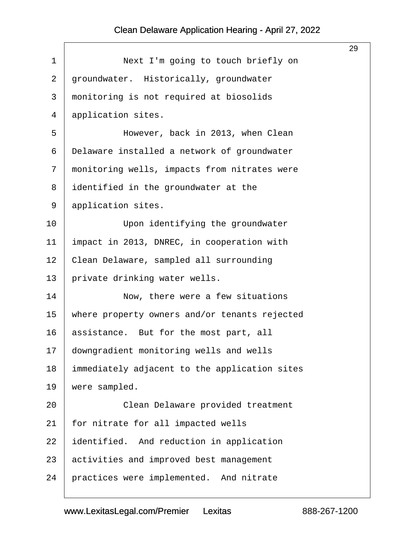<span id="page-29-0"></span>

|             |                                               | 29 |
|-------------|-----------------------------------------------|----|
| $\mathbf 1$ | Next I'm going to touch briefly on            |    |
| $\sqrt{2}$  | groundwater. Historically, groundwater        |    |
| 3           | monitoring is not required at biosolids       |    |
| 4           | application sites.                            |    |
| 5           | However, back in 2013, when Clean             |    |
| 6           | Delaware installed a network of groundwater   |    |
| 7           | monitoring wells, impacts from nitrates were  |    |
| 8           | identified in the groundwater at the          |    |
| 9           | application sites.                            |    |
| 10          | Upon identifying the groundwater              |    |
| 11          | impact in 2013, DNREC, in cooperation with    |    |
| 12          | Clean Delaware, sampled all surrounding       |    |
| 13          | private drinking water wells.                 |    |
| 14          | Now, there were a few situations              |    |
| 15          | where property owners and/or tenants rejected |    |
| 16          | assistance. But for the most part, all        |    |
| 17          | downgradient monitoring wells and wells       |    |
| 18          | immediately adjacent to the application sites |    |
| 19          | were sampled.                                 |    |
| 20          | Clean Delaware provided treatment             |    |
| 21          | for nitrate for all impacted wells            |    |
| 22          | identified. And reduction in application      |    |
| 23          | activities and improved best management       |    |
| 24          | practices were implemented. And nitrate       |    |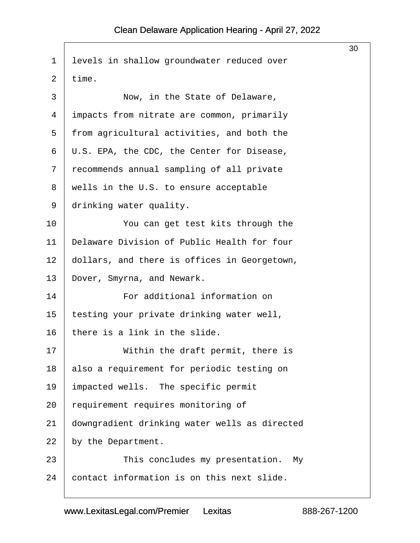<span id="page-30-0"></span>

| 30                                            |
|-----------------------------------------------|
| levels in shallow groundwater reduced over    |
| time.                                         |
| Now, in the State of Delaware,                |
| impacts from nitrate are common, primarily    |
| from agricultural activities, and both the    |
| U.S. EPA, the CDC, the Center for Disease,    |
| recommends annual sampling of all private     |
| wells in the U.S. to ensure acceptable        |
| drinking water quality.                       |
| You can get test kits through the             |
| Delaware Division of Public Health for four   |
| dollars, and there is offices in Georgetown,  |
| Dover, Smyrna, and Newark.                    |
| For additional information on                 |
| testing your private drinking water well,     |
| there is a link in the slide.                 |
| Within the draft permit, there is             |
| also a requirement for periodic testing on    |
| impacted wells. The specific permit           |
| requirement requires monitoring of            |
| downgradient drinking water wells as directed |
| by the Department.                            |
| This concludes my presentation.<br>Мy         |
| contact information is on this next slide.    |
|                                               |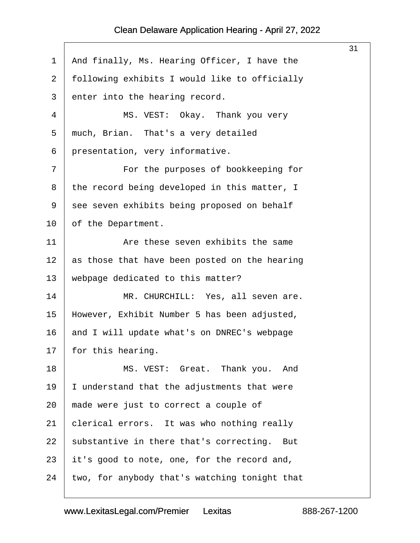<span id="page-31-0"></span>

|         |                                                | 31 |
|---------|------------------------------------------------|----|
| 1       | And finally, Ms. Hearing Officer, I have the   |    |
| 2       | following exhibits I would like to officially  |    |
| 3       | enter into the hearing record.                 |    |
| 4       | MS. VEST: Okay. Thank you very                 |    |
| 5       | much, Brian. That's a very detailed            |    |
| 6       | presentation, very informative.                |    |
| 7       | For the purposes of bookkeeping for            |    |
| 8       | the record being developed in this matter, I   |    |
| 9       | see seven exhibits being proposed on behalf    |    |
| $10 \,$ | of the Department.                             |    |
| 11      | Are these seven exhibits the same              |    |
| $1\,2$  | as those that have been posted on the hearing  |    |
| 13      | webpage dedicated to this matter?              |    |
| 14      | MR. CHURCHILL: Yes, all seven are.             |    |
| 15      | However, Exhibit Number 5 has been adjusted,   |    |
| 16      | and I will update what's on DNREC's webpage    |    |
| 17      | for this hearing.                              |    |
| 18      | MS. VEST: Great. Thank you. And                |    |
| 19      | I understand that the adjustments that were    |    |
| 20      | made were just to correct a couple of          |    |
| 21      | clerical errors. It was who nothing really     |    |
| 22      | substantive in there that's correcting.<br>But |    |
| 23      | it's good to note, one, for the record and,    |    |
| 24      | two, for anybody that's watching tonight that  |    |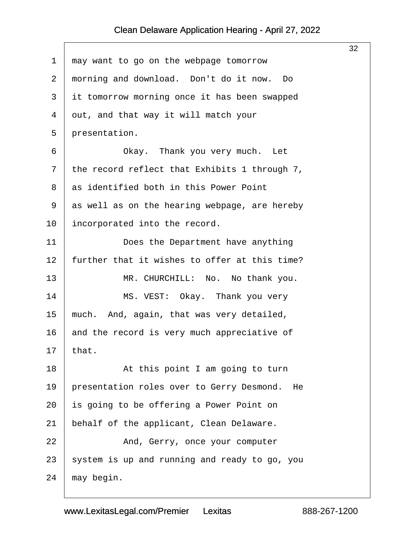<span id="page-32-0"></span>

|             |                                                 | 32 |
|-------------|-------------------------------------------------|----|
| $\mathbf 1$ | may want to go on the webpage tomorrow          |    |
| 2           | morning and download. Don't do it now. Do       |    |
| 3           | it tomorrow morning once it has been swapped    |    |
| 4           | out, and that way it will match your            |    |
| 5           | presentation.                                   |    |
| 6           | Okay. Thank you very much. Let                  |    |
| 7           | the record reflect that Exhibits 1 through 7,   |    |
| 8           | as identified both in this Power Point          |    |
| 9           | as well as on the hearing webpage, are hereby   |    |
| 10          | incorporated into the record.                   |    |
| 11          | Does the Department have anything               |    |
| 12          | further that it wishes to offer at this time?   |    |
| 13          | MR. CHURCHILL: No. No thank you.                |    |
| 14          | MS. VEST: Okay. Thank you very                  |    |
| 15          | much. And, again, that was very detailed,       |    |
| 16          | and the record is very much appreciative of     |    |
| 17          | that.                                           |    |
| 18          | At this point I am going to turn                |    |
| 19          | presentation roles over to Gerry Desmond.<br>He |    |
| 20          | is going to be offering a Power Point on        |    |
| 21          | behalf of the applicant, Clean Delaware.        |    |
| 22          | And, Gerry, once your computer                  |    |
| 23          | system is up and running and ready to go, you   |    |
| 24          | may begin.                                      |    |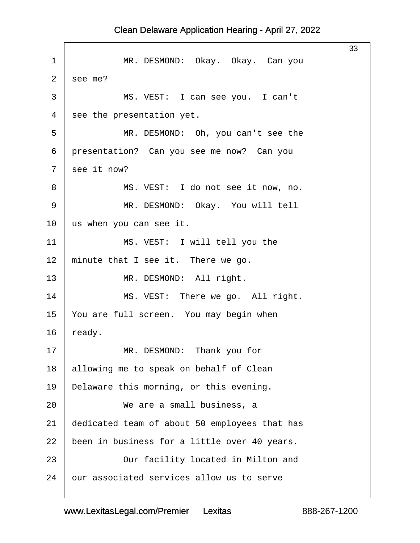<span id="page-33-0"></span>

|                |                                               | 33 |
|----------------|-----------------------------------------------|----|
| 1              | MR. DESMOND: Okay. Okay. Can you              |    |
| $\overline{2}$ | see me?                                       |    |
| 3              | MS. VEST: I can see you. I can't              |    |
| 4              | see the presentation yet.                     |    |
| 5              | MR. DESMOND: Oh, you can't see the            |    |
| 6              | presentation? Can you see me now? Can you     |    |
| 7              | see it now?                                   |    |
| 8              | MS. VEST: I do not see it now, no.            |    |
| $\mathsf 9$    | MR. DESMOND: Okay. You will tell              |    |
| 10             | us when you can see it.                       |    |
| 11             | MS. VEST: I will tell you the                 |    |
| 12             | minute that I see it. There we go.            |    |
| 13             | MR. DESMOND: All right.                       |    |
| 14             | MS. VEST: There we go. All right.             |    |
| 15             | You are full screen. You may begin when       |    |
| 16             | ready.                                        |    |
| 17             | MR. DESMOND: Thank you for                    |    |
| 18             | allowing me to speak on behalf of Clean       |    |
| 19             | Delaware this morning, or this evening.       |    |
| 20             | We are a small business, a                    |    |
| 21             | dedicated team of about 50 employees that has |    |
| 22             | been in business for a little over 40 years.  |    |
| 23             | Our facility located in Milton and            |    |
| 24             | our associated services allow us to serve     |    |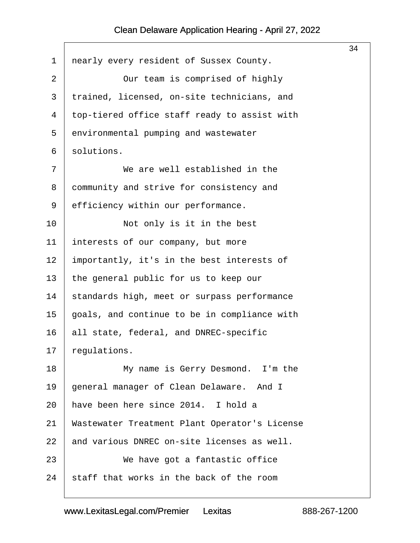<span id="page-34-0"></span>

|             |                                               | 34 |
|-------------|-----------------------------------------------|----|
| $\mathbf 1$ | nearly every resident of Sussex County.       |    |
| 2           | Our team is comprised of highly               |    |
| 3           | trained, licensed, on-site technicians, and   |    |
| 4           | top-tiered office staff ready to assist with  |    |
| 5           | environmental pumping and wastewater          |    |
| б           | solutions.                                    |    |
| 7           | We are well established in the                |    |
| 8           | community and strive for consistency and      |    |
| 9           | efficiency within our performance.            |    |
| 10          | Not only is it in the best                    |    |
| 11          | interests of our company, but more            |    |
| 12          | importantly, it's in the best interests of    |    |
| 13          | the general public for us to keep our         |    |
| 14          | standards high, meet or surpass performance   |    |
| 15          | goals, and continue to be in compliance with  |    |
| 16          | all state, federal, and DNREC-specific        |    |
| 17          | regulations.                                  |    |
| 18          | My name is Gerry Desmond. I'm the             |    |
| 19          | general manager of Clean Delaware. And I      |    |
| 20          | have been here since 2014. I hold a           |    |
| 21          | Wastewater Treatment Plant Operator's License |    |
| 22          | and various DNREC on-site licenses as well.   |    |
| 23          | We have got a fantastic office                |    |
| 24          | staff that works in the back of the room      |    |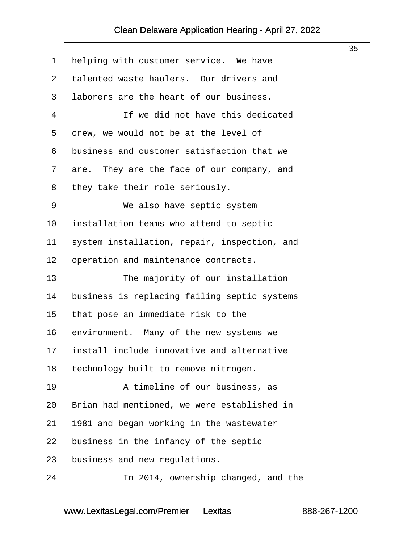$\sqrt{ }$ 

<span id="page-35-0"></span>

|             |                                               | 35 |
|-------------|-----------------------------------------------|----|
| $\mathbf 1$ | helping with customer service. We have        |    |
| 2           | talented waste haulers. Our drivers and       |    |
| 3           | laborers are the heart of our business.       |    |
| 4           | If we did not have this dedicated             |    |
| 5           | crew, we would not be at the level of         |    |
| 6           | business and customer satisfaction that we    |    |
| 7           | They are the face of our company, and<br>are. |    |
| 8           | they take their role seriously.               |    |
| 9           | We also have septic system                    |    |
| 10          | installation teams who attend to septic       |    |
| 11          | system installation, repair, inspection, and  |    |
| 12          | operation and maintenance contracts.          |    |
| 13          | The majority of our installation              |    |
| 14          | business is replacing failing septic systems  |    |
| 15          | that pose an immediate risk to the            |    |
| 16          | environment. Many of the new systems we       |    |
| 17          | install include innovative and alternative    |    |
| 18          | technology built to remove nitrogen.          |    |
| 19          | A timeline of our business, as                |    |
| 20          | Brian had mentioned, we were established in   |    |
| 21          | 1981 and began working in the wastewater      |    |
| 22          | business in the infancy of the septic         |    |
| 23          | business and new regulations.                 |    |
| 24          | In 2014, ownership changed, and the           |    |
|             |                                               |    |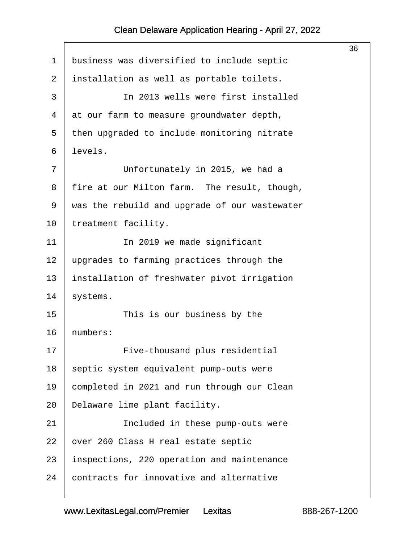<span id="page-36-0"></span>

|             |                                               | 36 |
|-------------|-----------------------------------------------|----|
| $\mathbf 1$ | business was diversified to include septic    |    |
| 2           | installation as well as portable toilets.     |    |
| 3           | In 2013 wells were first installed            |    |
| 4           | at our farm to measure groundwater depth,     |    |
| 5           | then upgraded to include monitoring nitrate   |    |
| 6           | levels.                                       |    |
| 7           | Unfortunately in 2015, we had a               |    |
| 8           | fire at our Milton farm. The result, though,  |    |
| 9           | was the rebuild and upgrade of our wastewater |    |
| 10          | treatment facility.                           |    |
| 11          | In 2019 we made significant                   |    |
| 12          | upgrades to farming practices through the     |    |
| 13          | installation of freshwater pivot irrigation   |    |
| 14          | systems.                                      |    |
| 15          | This is our business by the                   |    |
| 16          | numbers:                                      |    |
| 17          | Five-thousand plus residential                |    |
| 18          | septic system equivalent pump-outs were       |    |
| 19          | completed in 2021 and run through our Clean   |    |
| 20          | Delaware lime plant facility.                 |    |
| 21          | Included in these pump-outs were              |    |
| 22          | over 260 Class H real estate septic           |    |
| 23          | inspections, 220 operation and maintenance    |    |
| 24          | contracts for innovative and alternative      |    |
|             |                                               |    |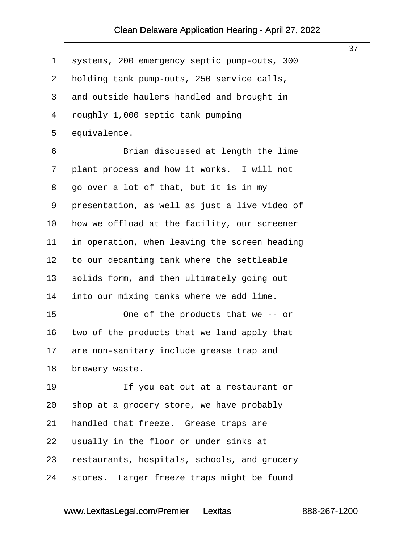$\sqrt{ }$ 

<span id="page-37-0"></span>

|                                               | 37 |
|-----------------------------------------------|----|
| systems, 200 emergency septic pump-outs, 300  |    |
| holding tank pump-outs, 250 service calls,    |    |
| and outside haulers handled and brought in    |    |
| roughly 1,000 septic tank pumping             |    |
| equivalence.                                  |    |
| Brian discussed at length the lime            |    |
| plant process and how it works. I will not    |    |
| go over a lot of that, but it is in my        |    |
| presentation, as well as just a live video of |    |
| how we offload at the facility, our screener  |    |
| in operation, when leaving the screen heading |    |
| to our decanting tank where the settleable    |    |
| solids form, and then ultimately going out    |    |
| into our mixing tanks where we add lime.      |    |
| One of the products that we -- or             |    |
| two of the products that we land apply that   |    |
| are non-sanitary include grease trap and      |    |
| brewery waste.                                |    |
| If you eat out at a restaurant or             |    |
| shop at a grocery store, we have probably     |    |
| handled that freeze. Grease traps are         |    |
| usually in the floor or under sinks at        |    |
| restaurants, hospitals, schools, and grocery  |    |
| stores. Larger freeze traps might be found    |    |
|                                               |    |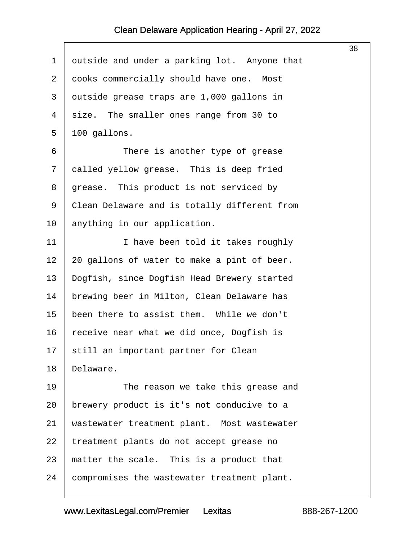<span id="page-38-0"></span>

|    |                                              | 38 |
|----|----------------------------------------------|----|
| 1  | outside and under a parking lot. Anyone that |    |
| 2  | cooks commercially should have one. Most     |    |
| 3  | outside grease traps are 1,000 gallons in    |    |
| 4  | size. The smaller ones range from 30 to      |    |
| 5  | 100 gallons.                                 |    |
| 6  | There is another type of grease              |    |
| 7  | called yellow grease. This is deep fried     |    |
| 8  | grease. This product is not serviced by      |    |
| 9  | Clean Delaware and is totally different from |    |
| 10 | anything in our application.                 |    |
| 11 | I have been told it takes roughly            |    |
| 12 | 20 gallons of water to make a pint of beer.  |    |
| 13 | Dogfish, since Dogfish Head Brewery started  |    |
| 14 | brewing beer in Milton, Clean Delaware has   |    |
| 15 | been there to assist them. While we don't    |    |
| 16 | receive near what we did once, Dogfish is    |    |
| 17 | still an important partner for Clean         |    |
| 18 | Delaware.                                    |    |
| 19 | The reason we take this grease and           |    |
| 20 | brewery product is it's not conducive to a   |    |
| 21 | wastewater treatment plant. Most wastewater  |    |
| 22 | treatment plants do not accept grease no     |    |
| 23 | matter the scale. This is a product that     |    |
| 24 | compromises the wastewater treatment plant.  |    |
|    |                                              |    |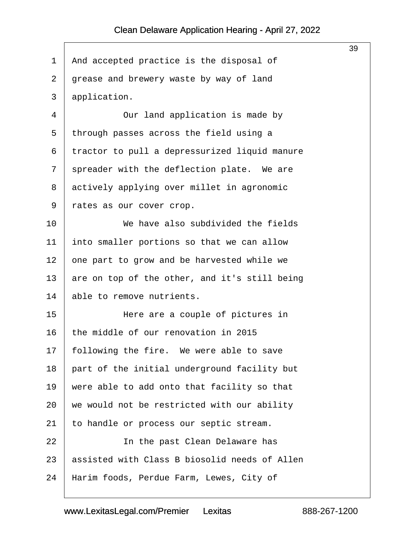$\sqrt{ }$ 

<span id="page-39-0"></span>

|                |                                               | 39 |
|----------------|-----------------------------------------------|----|
| $\mathbf 1$    | And accepted practice is the disposal of      |    |
| $\overline{2}$ | grease and brewery waste by way of land       |    |
| 3              | application.                                  |    |
| $\overline{4}$ | Our land application is made by               |    |
| 5              | through passes across the field using a       |    |
| 6              | tractor to pull a depressurized liquid manure |    |
| 7              | spreader with the deflection plate. We are    |    |
| 8              | actively applying over millet in agronomic    |    |
| 9              | rates as our cover crop.                      |    |
| 10             | We have also subdivided the fields            |    |
| 11             | into smaller portions so that we can allow    |    |
| 12             | one part to grow and be harvested while we    |    |
| 13             | are on top of the other, and it's still being |    |
| 14             | able to remove nutrients.                     |    |
| 15             | Here are a couple of pictures in              |    |
| 16             | the middle of our renovation in 2015          |    |
| 17             | following the fire. We were able to save      |    |
| 18             | part of the initial underground facility but  |    |
| 19             | were able to add onto that facility so that   |    |
| 20             | we would not be restricted with our ability   |    |
| 21             | to handle or process our septic stream.       |    |
| 22             | In the past Clean Delaware has                |    |
| 23             | assisted with Class B biosolid needs of Allen |    |
| 24             | Harim foods, Perdue Farm, Lewes, City of      |    |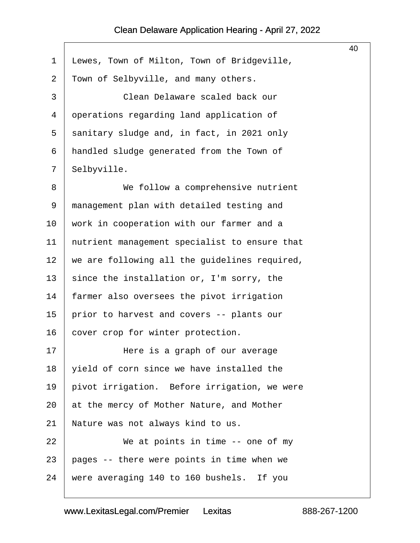$\sqrt{ }$ 

<span id="page-40-0"></span>

|                                               | 40 |
|-----------------------------------------------|----|
| Lewes, Town of Milton, Town of Bridgeville,   |    |
| Town of Selbyville, and many others.          |    |
| Clean Delaware scaled back our                |    |
| operations regarding land application of      |    |
| sanitary sludge and, in fact, in 2021 only    |    |
| handled sludge generated from the Town of     |    |
| Selbyville.                                   |    |
| We follow a comprehensive nutrient            |    |
| management plan with detailed testing and     |    |
| work in cooperation with our farmer and a     |    |
| nutrient management specialist to ensure that |    |
| we are following all the guidelines required, |    |
| since the installation or, I'm sorry, the     |    |
| farmer also oversees the pivot irrigation     |    |
| prior to harvest and covers -- plants our     |    |
| cover crop for winter protection.             |    |
| Here is a graph of our average                |    |
| yield of corn since we have installed the     |    |
| pivot irrigation. Before irrigation, we were  |    |
| at the mercy of Mother Nature, and Mother     |    |
| Nature was not always kind to us.             |    |
| We at points in time -- one of my             |    |
| pages -- there were points in time when we    |    |
| were averaging 140 to 160 bushels. If you     |    |
|                                               |    |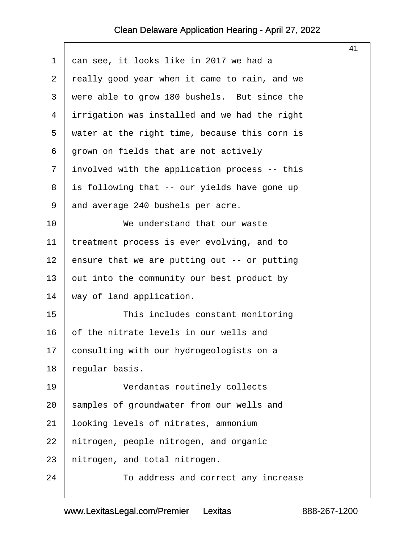<span id="page-41-0"></span>

|                |                                               | 41 |
|----------------|-----------------------------------------------|----|
| $\mathbf 1$    | can see, it looks like in 2017 we had a       |    |
| $\overline{2}$ | really good year when it came to rain, and we |    |
| 3              | were able to grow 180 bushels. But since the  |    |
| 4              | irrigation was installed and we had the right |    |
| 5              | water at the right time, because this corn is |    |
| 6              | grown on fields that are not actively         |    |
| 7              | involved with the application process -- this |    |
| 8              | is following that -- our yields have gone up  |    |
| 9              | and average 240 bushels per acre.             |    |
| 10             | We understand that our waste                  |    |
| 11             | treatment process is ever evolving, and to    |    |
| 12             | ensure that we are putting out $-$ or putting |    |
| 13             | out into the community our best product by    |    |
| 14             | way of land application.                      |    |
| 15             | This includes constant monitoring             |    |
| 16             | of the nitrate levels in our wells and        |    |
| 17             | consulting with our hydrogeologists on a      |    |
| 18             | regular basis.                                |    |
| 19             | Verdantas routinely collects                  |    |
| 20             | samples of groundwater from our wells and     |    |
| 21             | looking levels of nitrates, ammonium          |    |
| 22             | nitrogen, people nitrogen, and organic        |    |
| 23             | nitrogen, and total nitrogen.                 |    |
| 24             | To address and correct any increase           |    |
|                |                                               |    |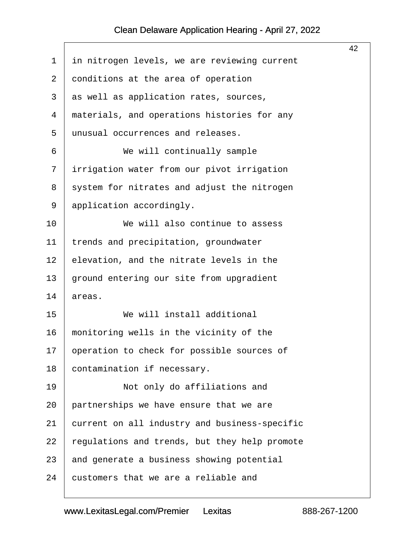<span id="page-42-0"></span>

|             |                                               | 42 |
|-------------|-----------------------------------------------|----|
| $\mathbf 1$ | in nitrogen levels, we are reviewing current  |    |
| 2           | conditions at the area of operation           |    |
| 3           | as well as application rates, sources,        |    |
| 4           | materials, and operations histories for any   |    |
| 5           | unusual occurrences and releases.             |    |
| 6           | We will continually sample                    |    |
| 7           | irrigation water from our pivot irrigation    |    |
| 8           | system for nitrates and adjust the nitrogen   |    |
| 9           | application accordingly.                      |    |
| 10          | We will also continue to assess               |    |
| 11          | trends and precipitation, groundwater         |    |
| 12          | elevation, and the nitrate levels in the      |    |
| 13          | ground entering our site from upgradient      |    |
| 14          | areas.                                        |    |
| 15          | We will install additional                    |    |
| 16          | monitoring wells in the vicinity of the       |    |
| 17          | operation to check for possible sources of    |    |
| 18          | contamination if necessary.                   |    |
| 19          | Not only do affiliations and                  |    |
| 20          | partnerships we have ensure that we are       |    |
| 21          | current on all industry and business-specific |    |
| 22          | regulations and trends, but they help promote |    |
| 23          | and generate a business showing potential     |    |
| 24          | customers that we are a reliable and          |    |
|             |                                               |    |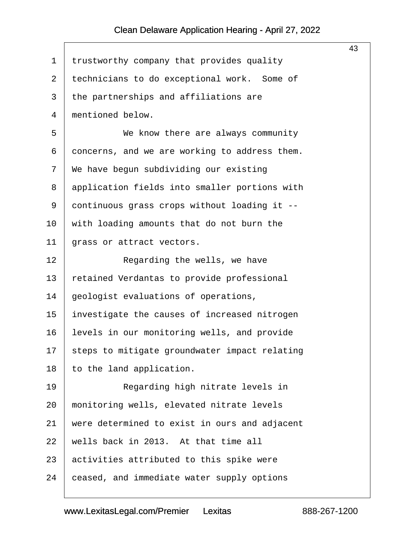<span id="page-43-0"></span>

|             |                                               | 43 |
|-------------|-----------------------------------------------|----|
| $\mathbf 1$ | trustworthy company that provides quality     |    |
| 2           | technicians to do exceptional work. Some of   |    |
| 3           | the partnerships and affiliations are         |    |
| 4           | mentioned below.                              |    |
| 5           | We know there are always community            |    |
| 6           | concerns, and we are working to address them. |    |
| 7           | We have begun subdividing our existing        |    |
| 8           | application fields into smaller portions with |    |
| 9           | continuous grass crops without loading it --  |    |
| $10 \,$     | with loading amounts that do not burn the     |    |
| 11          | grass or attract vectors.                     |    |
| 12          | Regarding the wells, we have                  |    |
| 13          | retained Verdantas to provide professional    |    |
| 14          | geologist evaluations of operations,          |    |
| 15          | investigate the causes of increased nitrogen  |    |
| 16          | levels in our monitoring wells, and provide   |    |
| 17          | steps to mitigate groundwater impact relating |    |
| 18          | to the land application.                      |    |
| 19          | Regarding high nitrate levels in              |    |
| 20          | monitoring wells, elevated nitrate levels     |    |
| 21          | were determined to exist in ours and adjacent |    |
| 22          | wells back in 2013. At that time all          |    |
| 23          | activities attributed to this spike were      |    |
| 24          | ceased, and immediate water supply options    |    |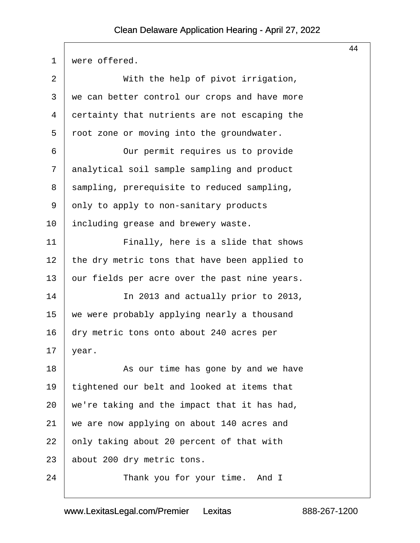<span id="page-44-0"></span>

|    |                                               | 44 |
|----|-----------------------------------------------|----|
| 1  | were offered.                                 |    |
| 2  | With the help of pivot irrigation,            |    |
| 3  | we can better control our crops and have more |    |
| 4  | certainty that nutrients are not escaping the |    |
| 5  | root zone or moving into the groundwater.     |    |
| 6  | Our permit requires us to provide             |    |
| 7  | analytical soil sample sampling and product   |    |
| 8  | sampling, prerequisite to reduced sampling,   |    |
| 9  | only to apply to non-sanitary products        |    |
| 10 | including grease and brewery waste.           |    |
| 11 | Finally, here is a slide that shows           |    |
| 12 | the dry metric tons that have been applied to |    |
| 13 | our fields per acre over the past nine years. |    |
| 14 | In 2013 and actually prior to 2013,           |    |
| 15 | we were probably applying nearly a thousand   |    |
| 16 | dry metric tons onto about 240 acres per      |    |
| 17 | year.                                         |    |
| 18 | As our time has gone by and we have           |    |
| 19 | tightened our belt and looked at items that   |    |
| 20 | we're taking and the impact that it has had,  |    |
| 21 | we are now applying on about 140 acres and    |    |
| 22 | only taking about 20 percent of that with     |    |
| 23 | about 200 dry metric tons.                    |    |
| 24 | Thank you for your time. And I                |    |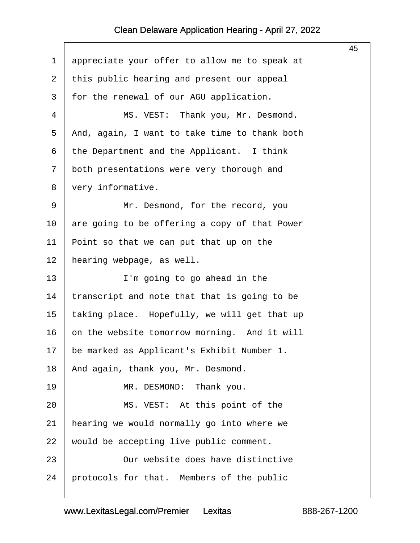<span id="page-45-0"></span>

|                |                                               | 45 |
|----------------|-----------------------------------------------|----|
| 1              | appreciate your offer to allow me to speak at |    |
| $\overline{2}$ | this public hearing and present our appeal    |    |
| 3              | for the renewal of our AGU application.       |    |
| 4              | MS. VEST: Thank you, Mr. Desmond.             |    |
| 5              | And, again, I want to take time to thank both |    |
| 6              | the Department and the Applicant. I think     |    |
| 7              | both presentations were very thorough and     |    |
| 8              | very informative.                             |    |
| 9              | Mr. Desmond, for the record, you              |    |
| 10             | are going to be offering a copy of that Power |    |
| 11             | Point so that we can put that up on the       |    |
| 12             | hearing webpage, as well.                     |    |
| 13             | I'm going to go ahead in the                  |    |
| 14             | transcript and note that that is going to be  |    |
| 15             | taking place. Hopefully, we will get that up  |    |
| 16             | on the website tomorrow morning. And it will  |    |
| 17             | be marked as Applicant's Exhibit Number 1.    |    |
| 18             | And again, thank you, Mr. Desmond.            |    |
| 19             | MR. DESMOND:<br>Thank you.                    |    |
| 20             | MS. VEST: At this point of the                |    |
| 21             | hearing we would normally go into where we    |    |
| 22             | would be accepting live public comment.       |    |
| 23             | Our website does have distinctive             |    |
| 24             | protocols for that. Members of the public     |    |
|                |                                               |    |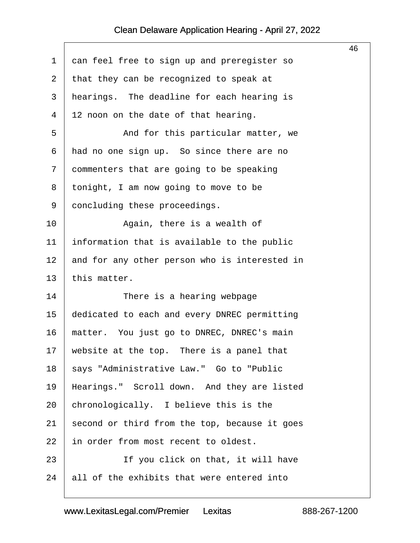<span id="page-46-0"></span>

|    |                                               | 46 |
|----|-----------------------------------------------|----|
| 1  | can feel free to sign up and preregister so   |    |
| 2  | that they can be recognized to speak at       |    |
| 3  | hearings. The deadline for each hearing is    |    |
| 4  | 12 noon on the date of that hearing.          |    |
| 5  | And for this particular matter, we            |    |
| 6  | had no one sign up. So since there are no     |    |
| 7  | commenters that are going to be speaking      |    |
| 8  | tonight, I am now going to move to be         |    |
| 9  | concluding these proceedings.                 |    |
| 10 | Again, there is a wealth of                   |    |
| 11 | information that is available to the public   |    |
| 12 | and for any other person who is interested in |    |
| 13 | this matter.                                  |    |
| 14 | There is a hearing webpage                    |    |
| 15 | dedicated to each and every DNREC permitting  |    |
| 16 | matter. You just go to DNREC, DNREC's main    |    |
| 17 | website at the top. There is a panel that     |    |
| 18 | says "Administrative Law." Go to "Public      |    |
| 19 | Hearings." Scroll down. And they are listed   |    |
| 20 | chronologically. I believe this is the        |    |
| 21 | second or third from the top, because it goes |    |
| 22 | in order from most recent to oldest.          |    |
| 23 | If you click on that, it will have            |    |
| 24 | all of the exhibits that were entered into    |    |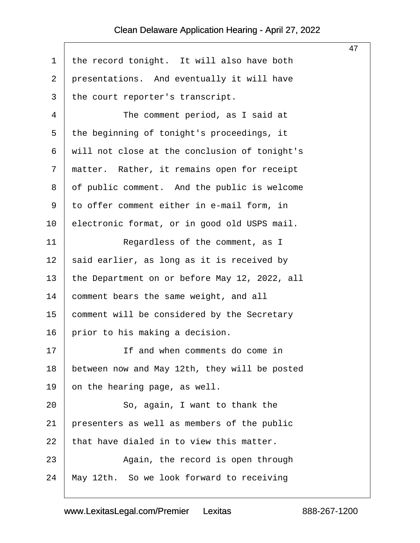$\Gamma$ 

| 47                                            |
|-----------------------------------------------|
| the record tonight. It will also have both    |
| presentations. And eventually it will have    |
| the court reporter's transcript.              |
| The comment period, as I said at              |
| the beginning of tonight's proceedings, it    |
| will not close at the conclusion of tonight's |
| matter. Rather, it remains open for receipt   |
| of public comment. And the public is welcome  |
| to offer comment either in e-mail form, in    |
| electronic format, or in good old USPS mail.  |
| Regardless of the comment, as I               |
| said earlier, as long as it is received by    |
| the Department on or before May 12, 2022, all |
| comment bears the same weight, and all        |
| comment will be considered by the Secretary   |
| prior to his making a decision.               |
| If and when comments do come in               |
| between now and May 12th, they will be posted |
|                                               |
| So, again, I want to thank the                |
| presenters as well as members of the public   |
| that have dialed in to view this matter.      |
| Again, the record is open through             |
| May 12th. So we look forward to receiving     |
|                                               |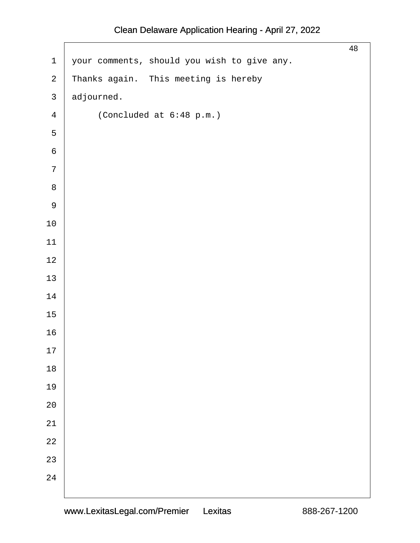| $\mathbf 1$    | your comments, should you wish to give any. | 48 |
|----------------|---------------------------------------------|----|
| $\overline{a}$ | Thanks again. This meeting is hereby        |    |
| $\mathfrak{Z}$ | adjourned.                                  |    |
| $\overline{4}$ | (Concluded at 6:48 p.m.)                    |    |
| 5              |                                             |    |
| $\epsilon$     |                                             |    |
| $\overline{7}$ |                                             |    |
| $\,8\,$        |                                             |    |
| $\mathsf 9$    |                                             |    |
| $10\,$         |                                             |    |
| $11$           |                                             |    |
| $12\,$         |                                             |    |
| $13$           |                                             |    |
| 14             |                                             |    |
| $15\,$         |                                             |    |
| 16             |                                             |    |
| $17$           |                                             |    |
| $18\,$         |                                             |    |
| 19             |                                             |    |
| 20             |                                             |    |
| 21             |                                             |    |
| $2\sqrt{2}$    |                                             |    |
| 23             |                                             |    |
| 24             |                                             |    |
|                |                                             |    |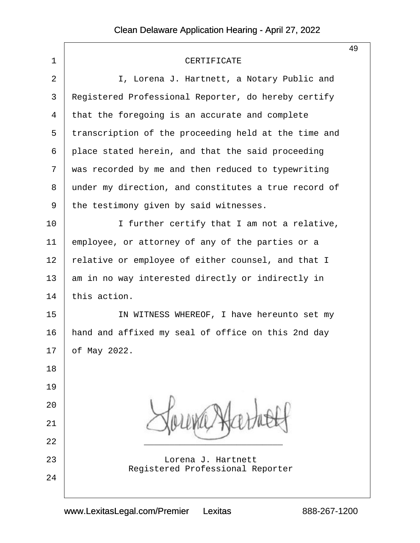|                |                                                        | 49 |
|----------------|--------------------------------------------------------|----|
| 1              | CERTIFICATE                                            |    |
| $\overline{2}$ | I, Lorena J. Hartnett, a Notary Public and             |    |
| 3              | Registered Professional Reporter, do hereby certify    |    |
| 4              | that the foregoing is an accurate and complete         |    |
| 5              | transcription of the proceeding held at the time and   |    |
| 6              | place stated herein, and that the said proceeding      |    |
| 7              | was recorded by me and then reduced to typewriting     |    |
| 8              | under my direction, and constitutes a true record of   |    |
| 9              | the testimony given by said witnesses.                 |    |
| 10             | I further certify that I am not a relative,            |    |
| 11             | employee, or attorney of any of the parties or a       |    |
| 12             | relative or employee of either counsel, and that I     |    |
| 13             | am in no way interested directly or indirectly in      |    |
| 14             | this action.                                           |    |
| 15             | IN WITNESS WHEREOF, I have hereunto set my             |    |
| 16             | hand and affixed my seal of office on this 2nd day     |    |
| 17             | of May 2022.                                           |    |
| 18             |                                                        |    |
| 19             |                                                        |    |
| 20             |                                                        |    |
| 21             |                                                        |    |
| 22             |                                                        |    |
| 23             | Lorena J. Hartnett<br>Registered Professional Reporter |    |
| 24             |                                                        |    |
|                |                                                        |    |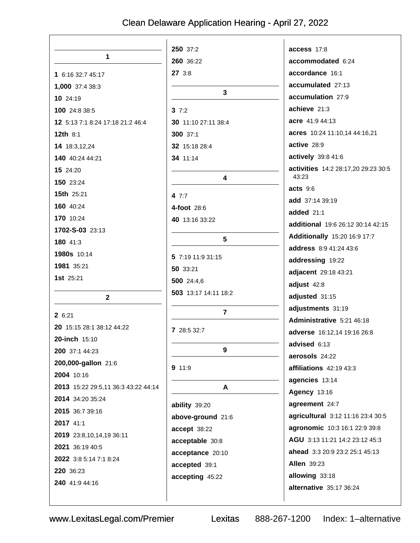|                                     | 250 37:2             | access 17:8                         |
|-------------------------------------|----------------------|-------------------------------------|
| 1                                   | 260 36:22            | accommodated 6:24                   |
| 1 6:16 32:7 45:17                   | 27 3:8               | accordance 16:1                     |
| 1,000 37:4 38:3                     |                      | accumulated 27:13                   |
| 10 24:19                            | 3                    | accumulation 27:9                   |
| 100 24:8 38:5                       | 37:2                 | achieve 21:3                        |
| 12 5:13 7:1 8:24 17:18 21:2 46:4    | 30 11:10 27:11 38:4  | acre 41:9 44:13                     |
| <b>12th 8:1</b>                     | 300 37:1             | acres 10:24 11:10,14 44:16,21       |
| 14 18:3,12,24                       | 32 15:18 28:4        | active 28:9                         |
| 140 40:24 44:21                     | 34 11:14             | actively 39:8 41:6                  |
| 15 24:20                            |                      | activities 14:2 28:17,20 29:23 30:5 |
| 150 23:24                           | 4                    | 43:23                               |
| 15th 25:21                          | 4 7:7                | acts 9:6                            |
| 160 40:24                           | 4-foot 28:6          | add 37:14 39:19                     |
| 170 10:24                           | 40 13:16 33:22       | added 21:1                          |
| 1702-S-03 23:13                     |                      | additional 19:6 26:12 30:14 42:15   |
| 180 41:3                            | $5\phantom{1}$       | <b>Additionally</b> 15:20 16:9 17:7 |
| 1980s 10:14                         |                      | address 8:9 41:24 43:6              |
| 1981 35:21                          | 5 7:19 11:9 31:15    | addressing 19:22                    |
| 1st 25:21                           | 50 33:21             | adjacent 29:18 43:21                |
|                                     | 500 24:4,6           | adjust 42:8                         |
| $\mathbf 2$                         | 503 13:17 14:11 18:2 | adjusted 31:15                      |
| 2 6:21                              | $\overline{7}$       | adjustments 31:19                   |
| 20 15:15 28:1 38:12 44:22           |                      | Administrative 5:21 46:18           |
| 20-inch 15:10                       | 7 28:5 32:7          | adverse 16:12,14 19:16 26:8         |
| 200 37:1 44:23                      | 9                    | advised 6:13                        |
| 200,000-gallon 21:6                 |                      | aerosols 24:22                      |
| 2004 10:16                          | 9 11:9               | affiliations 42:19 43:3             |
| 2013 15:22 29:5,11 36:3 43:22 44:14 | A                    | agencies 13:14                      |
| 2014 34:20 35:24                    |                      | <b>Agency 13:16</b>                 |
| 2015 36:7 39:16                     | ability 39:20        | agreement 24:7                      |
| 2017 41:1                           | above-ground 21:6    | agricultural 3:12 11:16 23:4 30:5   |
| 2019 23:8,10,14,19 36:11            | accept 38:22         | agronomic 10:3 16:1 22:9 39:8       |
| 2021 36:19 40:5                     | acceptable 30:8      | AGU 3:13 11:21 14:2 23:12 45:3      |
| 2022 3:8 5:14 7:1 8:24              | acceptance 20:10     | ahead 3:3 20:9 23:2 25:1 45:13      |
| 220 36:23                           | accepted 39:1        | <b>Allen 39:23</b>                  |
| 240 41:9 44:16                      | accepting 45:22      | allowing 33:18                      |
|                                     |                      | alternative 35:17 36:24             |
|                                     |                      |                                     |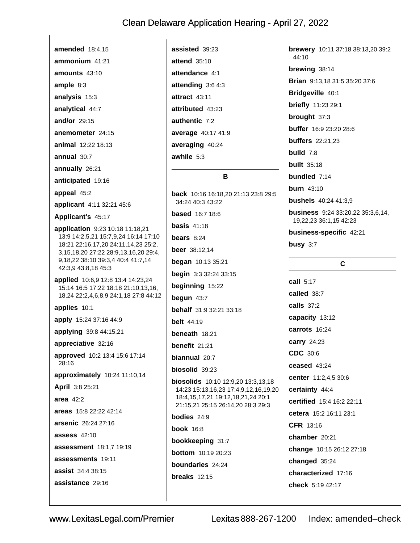amended 18:4.15  $ammonium$  41:21 amounts  $43:10$ ample  $8:3$ analysis 15:3 analytical 44:7 and/or 29:15 anemometer 24:15 animal  $12.2218.13$ annual 30:7 annually 26:21 anticipated 19:16 appeal 45:2 applicant 4:11 32:21 45:6 Applicant's 45:17 application 9:23 10:18 11:18,21 13:9 14:2,5,21 15:7,9,24 16:14 17:10 18:21 22:16,17,20 24:11,14,23 25:2, 3, 15, 18, 20 27: 22 28: 9, 13, 16, 20 29: 4, 9,18,22 38:10 39:3,4 40:4 41:7,14 42:3,9 43:8,18 45:3 applied 10:6,9 12:8 13:4 14:23,24 15:14 16:5 17:22 18:18 21:10.13.16. 18.24 22:2.4.6.8.9 24:1.18 27:8 44:12 applies 10:1 apply 15:24 37:16 44:9 applying 39:8 44:15,21 appreciative 32:16 approved 10:2 13:4 15:6 17:14  $28:16$ approximately 10:24 11:10,14 April 3:8 25:21 area  $42:2$ areas 15:8 22:22 42:14 arsenic 26:24 27:16 **assess 42:10** assessment 18:1.7 19:19 assessments 19:11 **assist** 34:4 38:15 assistance 29:16

assisted 39:23 attend  $35:10$ attendance 4:1 attending  $3:64:3$ attract 43:11 attributed 43:23 authentic 7:2 average 40:17 41:9 averaging 40:24 awhile 5:3 R. back 10:16 16:18.20 21:13 23:8 29:5 34:24 40:3 43:22 **based** 16:7 18:6 basis  $41:18$ bears  $8:24$ **beer** 38:12,14 **began** 10:13 35:21 begin 3:3 32:24 33:15 beginning 15:22 begun  $43:7$ **behalf** 31:9 32:21 33:18 **belt** 44:19 beneath  $18:21$ benefit 21:21 biannual 20:7 biosolid 39:23 **biosolids** 10:10 12:9,20 13:3,13,18 14:23 15:13,16,23 17:4,9,12,16,19,20 18:4,15,17,21 19:12,18,21,24 20:1 21:15,21 25:15 26:14,20 28:3 29:3 bodies  $24:9$ **book** 16:8 bookkeeping 31:7 **bottom** 10:19 20:23 boundaries 24:24 breaks  $12:15$ 

brewery 10:11 37:18 38:13,20 39:2 44:10 brewing 38:14 **Brian** 9:13,18 31:5 35:20 37:6 Bridgeville 40:1 briefly 11:23 29:1 brought 37:3 buffer 16:9 23:20 28:6 **buffers** 22:21.23 build  $7:8$ **built** 35:18 bundled 7:14 **burn** 43:10 **bushels** 40:24 41:3,9 **business** 9:24 33:20,22 35:3,6,14, 19.22.23 36:1.15 42:23 business-specific 42:21 busy  $3:7$  $\mathbf c$ call  $5:17$ called 38:7 **calls** 37:2 capacity 13:12 carrots 16:24 carry 24:23 CDC 30:6 ceased 43:24 center 11:2,4,5 30:6 certainty 44:4 certified 15:4 16:2 22:11 cetera 15:2.16:11.23:1 CFR 13:16 chamber 20:21 change 10:15 26:12 27:18 changed 35:24 characterized 17:16 check 5:19 42:17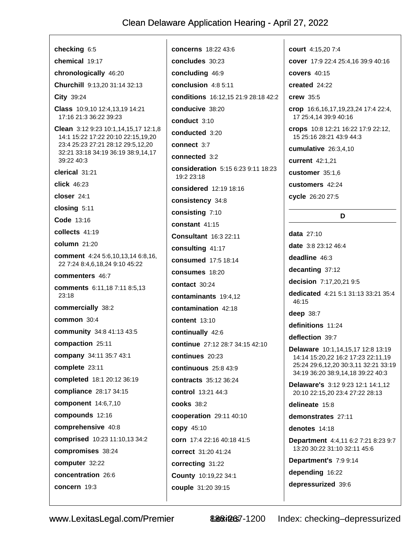checking 6:5 chemical 19:17 chronologically 46:20 Churchill 9:13.20 31:14 32:13 City 39:24 Class 10:9,10 12:4,13,19 14:21 17:16 21:3 36:22 39:23 Clean 3:12 9:23 10:1,14,15,17 12:1,8 14:1 15:22 17:22 20:10 22:15,19,20 23:4 25:23 27:21 28:12 29:5,12,20 32:21 33:18 34:19 36:19 38:9.14.17 39:22 40:3 clerical 31:21 click 46:23 closer 24:1 closing 5:11 Code 13:16 collects 41:19 column 21:20 comment 4:24 5:6,10,13,14 6:8,16, 22 7:24 8:4,6,18,24 9:10 45:22 commenters 46:7 **comments** 6:11.18 7:11 8:5.13  $23:18$ commercially 38:2 common 30:4 community 34:8 41:13 43:5 compaction 25:11 company 34:11 35:7 43:1 complete 23:11 completed 18:1 20:12 36:19 compliance 28:17 34:15 component 14:6,7,10 compounds 12:16 comprehensive 40:8 **comprised** 10:23 11:10,13 34:2 compromises 38:24 computer 32:22 concentration 26:6 concern 19:3

concerns 18:22 43:6 concludes 30:23 concluding 46:9 conclusion 4:8 5:11 conditions 16:12.15 21:9 28:18 42:2 conducive 38:20 conduct 3:10 conducted 3:20 connect 3:7 connected 3:2 consideration 5:15 6:23 9:11 18:23 19:2 23:18 considered 12:19 18:16 consistency 34:8 consisting 7:10 constant 41:15 **Consultant** 16:3 22:11 consulting 41:17 consumed 17:5 18:14 consumes 18:20 contact 30:24 contaminants 19:4.12 contamination 42:18 **content** 13:10 continually 42:6 continue 27:12 28:7 34:15 42:10 continues 20:23 continuous  $25.843.9$ contracts 35:12 36:24 control 13:21 44:3 **cooks** 38:2 cooperation 29:11 40:10 **copy 45:10** corn 17:4 22:16 40:18 41:5 correct 31:20 41:24 correcting 31:22 County 10:19,22 34:1 couple 31:20 39:15

court 4:15.20 7:4 cover 17:9 22:4 25:4,16 39:9 40:16 **covers** 40:15 created 24:22 crew 35:5 crop 16:6, 16, 17, 19, 23, 24 17: 4 22: 4, 17 25:4,14 39:9 40:16 crops 10:8 12:21 16:22 17:9 22:12, 15 25:16 28:21 43:9 44:3 cumulative 26:3,4,10 current 42:1,21 customer 35:1.6 customers 42:24 cycle 26:20 27:5 D data  $27:10$ date 3:8 23:12 46:4 deadline 46:3 decanting 37:12 decision 7:17,20,21 9:5 dedicated 4:21 5:1 31:13 33:21 35:4 46:15 deep 38:7 definitions 11:24 deflection 39:7 Delaware 10:1.14.15.17 12:8 13:19 14:14 15:20,22 16:2 17:23 22:11,19 25:24 29:6,12,20 30:3,11 32:21 33:19 34:19 36:20 38:9,14,18 39:22 40:3 Delaware's 3:12 9:23 12:1 14:1,12 20:10 22:15,20 23:4 27:22 28:13 delineate 15:8 demonstrates 27:11 denotes 14:18 Department 4:4,11 6:2 7:21 8:23 9:7 13:20 30:22 31:10 32:11 45:6 Department's 7:9 9:14 depending 16:22 depressurized 39:6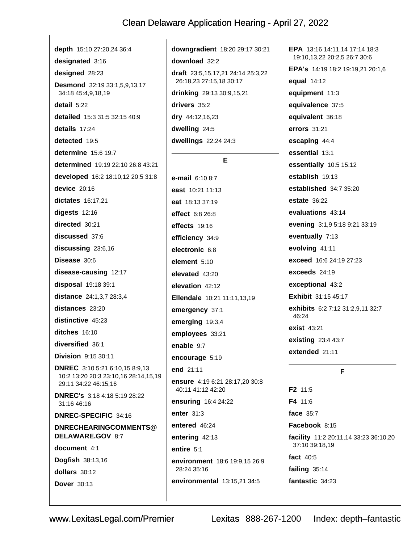depth 15:10 27:20,24 36:4 designated 3:16 designed 28:23 **Desmond** 32:19 33:1.5.9.13.17 34:18 45:4,9,18,19 detail 5:22 detailed 15:3 31:5 32:15 40:9 details 17:24 detected 19:5 determine 15:6 19:7 determined 19:19 22:10 26:8 43:21 developed 16:2 18:10,12 20:5 31:8 device  $20:16$ dictates 16:17,21 digests  $12:16$ directed 30:21 discussed 37:6 discussing 23:6,16 Disease 30:6 disease-causing 12:17 disposal 19:18 39:1 distance 24:1,3,7 28:3,4 distances 23:20 distinctive 45:23 ditches 16:10 diversified 36:1 **Division** 9:15 30:11 **DNREC** 3:10 5:21 6:10.15 8:9.13 10:2 13:20 20:3 23:10,16 28:14,15,19 29:11 34:22 46:15.16 **DNREC's** 3:18 4:18 5:19 28:22 31:16 46:16 DNREC-SPECIFIC 34:16 DNRECHEARINGCOMMENTS@ DELAWARE.GOV 8:7 document 4:1 Dogfish 38:13,16 dollars 30:12 **Dover** 30:13

downgradient 18:20 29:17 30:21 download 32:2 draft 23:5,15,17,21 24:14 25:3,22 26:18,23 27:15,18 30:17 drinking 29:13 30:9,15,21 drivers 35:2 dry 44:12,16,23 dwelling 24:5 dwellings 22:24 24:3 E. e-mail 6:10 8:7 east 10:21 11:13 eat 18:13 37:19 effect 6:8 26:8 effects 19:16 efficiency 34:9 electronic 6:8 element  $5:10$ elevated 43:20 elevation 42:12 Ellendale 10:21 11:11,13,19 emergency 37:1 emerging 19:3,4 employees 33:21 enable 9:7 encourage 5:19 end 21:11 ensure 4:19 6:21 28:17,20 30:8 40:11 41:12 42:20 ensuring 16:4 24:22 enter  $31:3$ entered 46:24 entering 42:13 entire 5:1 environment 18:6 19:9,15 26:9 28:24 35:16 environmental 13:15,21 34:5

EPA 13:16 14:11.14 17:14 18:3 19:10,13,22 20:2,5 26:7 30:6 EPA's 14:19 18:2 19:19.21 20:1.6 equal 14:12 equipment 11:3 equivalence 37:5 equivalent 36:18 errors 31:21 escaping 44:4 essential 13:1 essentially 10:5 15:12 establish 19:13 established 34:7 35:20 **estate** 36:22 evaluations 43:14 evening 3:1,9 5:18 9:21 33:19 eventually 7:13 evolving 41:11 exceed 16:6 24:19 27:23 exceeds 24:19 exceptional 43:2 **Exhibit** 31:15 45:17 exhibits 6:2 7:12 31:2,9,11 32:7 46:24 exist 43:21 existing 23:4 43:7 extended 21:11 F. F2 11:5 F4 11:6 face  $35.7$ Facebook 8:15 facility 11:2 20:11,14 33:23 36:10,20 37:10 39:18,19 fact 40:5 failing  $35:14$ 

fantastic 34:23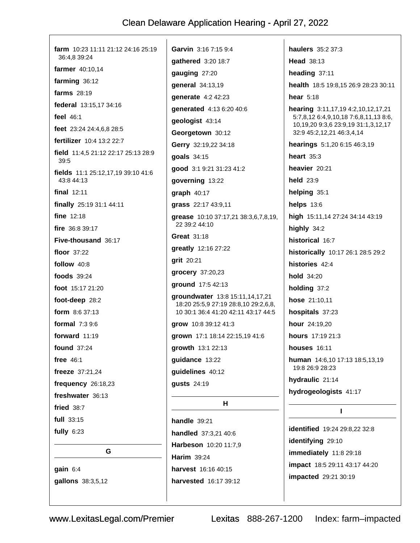| farm 10:23 11:11 21:12 24:16 25:19<br>36:4,8 39:24 |
|----------------------------------------------------|
| farmer 40:10,14                                    |
| farming 36:12                                      |
| farms $28:19$                                      |
| federal 13:15,17 34:16                             |
| feel $46:1$                                        |
| feet 23:24 24:4,6,8 28:5                           |
| fertilizer 10:4 13:2 22:7                          |
| field $11:4,521:122:1725:1328:9$<br>39:5           |
| fields 11:1 25:12,17,19 39:10 41:6<br>43:8 44:13   |
| final $12:11$                                      |
| finally 25:19 31:1 44:11                           |
| fine 12:18                                         |
| fire $36:839:17$                                   |
| Five-thousand 36:17                                |
| floor 37:22                                        |
| follow 40:8                                        |
| foods 39:24                                        |
| foot 15:17 21:20                                   |
| foot-deep 28:2                                     |
| <b>form</b> $8:637:13$                             |
| formal $7:39:6$                                    |
| forward 11:19                                      |
| found 37:24                                        |
| free $46:1$                                        |
| freeze 37:21,24                                    |
| frequency 26:18,23                                 |
| freshwater 36:13                                   |
| fried $38:7$                                       |
| full $33:15$                                       |
| fully $6:23$                                       |
| G                                                  |
| gain 6:4                                           |
| gallons 38:3,5,12                                  |

Garvin 3:16 7:15 9:4 qathered 3:20 18:7 gauging 27:20 general 34:13,19 qenerate 4:2 42:23 generated 4:13 6:20 40:6 geologist 43:14 Georgetown 30:12 Gerry 32:19,22 34:18 goals 34:15 good 3:1 9:21 31:23 41:2 governing 13:22  $graph$  40:17 grass 22:17 43:9,11 grease 10:10 37:17,21 38:3,6,7,8,19, 22 39:2 44:10 **Great 31:18** greatly 12:16 27:22 grit 20:21 qrocery 37:20,23 ground 17:5 42:13 groundwater 13:8 15:11,14,17,21 18:20 25:5,9 27:19 28:8,10 29:2,6,8, 10 30:1 36:4 41:20 42:11 43:17 44:5 grow 10:8 39:12 41:3 grown 17:1 18:14 22:15,19 41:6 growth 13:1 22:13 quidance 13:22 guidelines 40:12 gusts 24:19  $H$ handle  $39:21$ 

handled 37:3,21 40:6 Harbeson 10:20 11:7,9 **Harim 39:24** harvest 16:16 40:15 harvested 16:17 39:12

haulers 35:2 37:3 Head 38:13 heading 37:11 health 18:5 19:8.15 26:9 28:23 30:11 hear  $5:18$ hearing 3:11,17,19 4:2,10,12,17,21 5:7,8,12 6:4,9,10,18 7:6,8,11,13 8:6, 10,19,20 9:3,6 23:9,19 31:1,3,12,17 32:9 45:2,12,21 46:3,4,14 hearings 5:1,20 6:15 46:3,19 heart  $35:3$ heavier 20:21 held 23:9 helping 35:1 helps  $13:6$ high 15:11,14 27:24 34:14 43:19 highly  $34:2$ historical 16:7 historically 10:17 26:1 28:5 29:2 histories 42:4 hold 34:20 holding 37:2 hose 21:10,11 hospitals 37:23 hour 24:19,20 hours 17:19 21:3 houses 16:11 human 14:6,10 17:13 18:5,13,19 19:8 26:9 28:23 hydraulic 21:14 hydrogeologists 41:17 L

identified 19:24 29:8,22 32:8 identifying 29:10 immediately 11:8 29:18 impact 18:5 29:11 43:17 44:20 impacted 29:21 30:19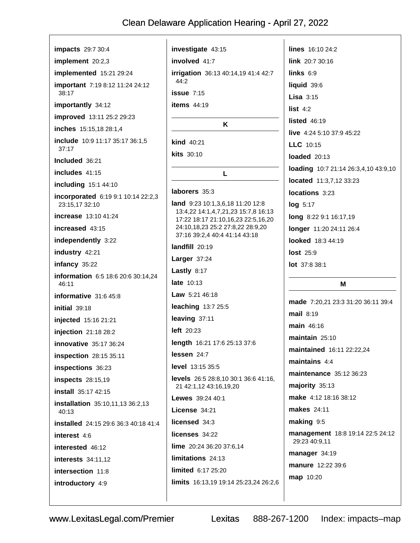impacts 29:7 30:4 implement 20:2,3 implemented 15:21 29:24 **important** 7:19 8:12 11:24 24:12 38:17 importantly 34:12 improved 13:11 25:2 29:23 inches 15:15,18 28:1,4 include 10:9 11:17 35:17 36:1.5  $37:17$ Included 36:21 includes  $41:15$ including 15:1 44:10 incorporated 6:19 9:1 10:14 22:2,3 23:15,17 32:10 increase 13:10 41:24 increased 43:15 independently 3:22 industry 42:21 infancy 35:22 information 6:5 18:6 20:6 30:14,24 46:11 informative  $31:645:8$  $initial$  39:18 injected 15:16 21:21 injection 21:18 28:2 innovative 35:17 36:24 **inspection** 28:15 35:11 inspections 36:23 **inspects** 28:15,19 **install** 35:17 42:15 installation 35:10,11,13 36:2,13  $40.13$ installed 24:15 29:6 36:3 40:18 41:4 interest 4.6 interested 46:12 interests 34:11,12 intersection 11:8 introductory 4:9

investigate 43:15 involved 41:7 irrigation 36:13 40:14,19 41:4 42:7 44:2  $issue$  7.15 items 44:19 K kind 40:21 kits 30:10 L laborers 35:3 **land** 9:23 10:1,3,6,18 11:20 12:8 13:4,22 14:1,4,7,21,23 15:7,8 16:13 17:22 18:17 21:10,16,23 22:5,16,20 24:10,18,23 25:2 27:8,22 28:9,20 37:16 39:2,4 40:4 41:14 43:18 landfill 20:19 Larger  $37:24$ Lastly 8:17 late 10:13 **Law**  $5:2146:18$ leaching 13:7 25:5 leaving 37:11 left  $20:23$ length 16:21 17:6 25:13 37:6 lessen 24:7 level 13:15 35:5 levels 26:5 28:8,10 30:1 36:6 41:16, 21 42:1,12 43:16,19,20 Lewes 39:24 40:1 License 34:21 licensed 34:3 licenses 34:22 lime 20:24 36:20 37:6,14 limitations 24:13 limited 6:17 25:20 limits 16:13,19 19:14 25:23,24 26:2,6

lines 16:10 24:2 link 20:7 30:16 links  $6:9$ liquid 39:6 Lisa  $3:15$ list  $4:2$ listed  $46:19$ live 4:24 5:10 37:9 45:22 LLC 10:15 loaded 20:13 loading 10:7 21:14 26:3,4,10 43:9,10 located 11:3,7,12 33:23 locations 3:23  $log 5:17$ long 8:22 9:1 16:17,19 longer 11:20 24:11 26:4 looked 18:3 44:19 **lost** 25:9 lot 37:8 38:1

#### M

made 7:20,21 23:3 31:20 36:11 39:4 mail  $8:19$ main 46:16 maintain  $25:10$ maintained 16:11 22:22,24 maintains  $4:4$ maintenance 35:12 36:23  $majority$  35:13 make 4:12 18:16 38:12 makes 24:11 making 9:5 management 18:8 19:14 22:5 24:12 29:23 40:9,11 manager 34:19 manure 12:22 39:6 map 10:20

Lexitas 888-267-1200 Index: impacts-map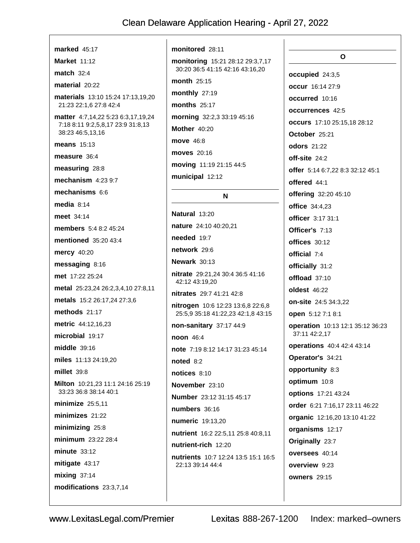| marked $45:17$                                                          | monitored 28:11                                                |
|-------------------------------------------------------------------------|----------------------------------------------------------------|
| Market $11:12$                                                          | monitoring 15:21 28:12 29:3,7,17                               |
| match $32:4$                                                            | 30:20 36:5 41:15 42:16 43:16,20                                |
| material 20:22                                                          | month $25:15$                                                  |
| <b>materials</b> 13:10 15:24 17:13,19,20                                | monthly 27:19                                                  |
| 21:23 22:1,6 27:8 42:4                                                  | months $25:17$                                                 |
| matter 4:7,14,22 5:23 6:3,17,19,24<br>7:18 8:11 9:2,5,8,17 23:9 31:8,13 | morning 32:2,3 33:19 45:16<br><b>Mother 40:20</b>              |
| 38:23 46:5,13,16                                                        | <b>move</b> 46:8                                               |
| means $15:13$                                                           | <b>moves</b> 20:16                                             |
| measure 36:4                                                            |                                                                |
| measuring 28:8                                                          | moving 11:19 21:15 44:5                                        |
| mechanism $4:239:7$                                                     | municipal 12:12                                                |
| mechanisms $6:6$                                                        | N                                                              |
| media $8:14$                                                            |                                                                |
| meet 34:14                                                              | Natural 13:20                                                  |
| members 5:4 8:2 45:24                                                   | nature 24:10 40:20,21                                          |
| <b>mentioned</b> 35:20 43:4                                             | needed $19:7$                                                  |
| <b>mercy</b> 40:20                                                      | network 29:6<br>Newark 30:13                                   |
| messaging 8:16                                                          |                                                                |
| met 17:22 25:24                                                         | <b>nitrate</b> 29:21,24 30:4 36:5 41:16<br>42:12 43:19,20      |
| metal 25:23,24 26:2,3,4,10 27:8,11                                      | nitrates 29:7 41:21 42:8                                       |
| metals 15:2 26:17,24 27:3,6                                             | <b>nitrogen</b> 10:6 12:23 13:6,8 22:6,8                       |
| methods 21:17                                                           | 25:5,9 35:18 41:22,23 42:1,8 43:15                             |
| <b>metric</b> 44:12,16,23                                               | non-sanitary 37:17 44:9                                        |
| microbial 19:17                                                         | <b>noon</b> 46:4                                               |
| middle 39:16                                                            | note 7:19 8:12 14:17 31:23 45:14                               |
| miles 11:13 24:19,20                                                    | noted $8:2$                                                    |
| millet 39:8                                                             | notices 8:10                                                   |
| Milton 10:21,23 11:1 24:16 25:19<br>33:23 36:8 38:14 40:1               | November 23:10                                                 |
| minimize $25:5,11$                                                      | Number 23:12 31:15 45:17                                       |
| minimizes $21:22$                                                       | numbers 36:16                                                  |
| minimizing 25:8                                                         | numeric 19:13,20                                               |
| minimum 23:22 28:4                                                      | nutrient 16:2 22:5,11 25:8 40:8,11                             |
| $minute$ 33:12                                                          | nutrient-rich 12:20                                            |
| mitigate 43:17                                                          | <b>nutrients</b> 10:7 12:24 13:5 15:1 16:5<br>22:13 39:14 44:4 |
| mixing $37:14$                                                          |                                                                |
| modifications 23:3,7,14                                                 |                                                                |
|                                                                         |                                                                |

 $\mathbf{o}$ occupied 24:3,5 occur 16:14 27:9 occurred 10:16 occurrences 42:5 occurs 17:10 25:15,18 28:12 October 25:21 **odors** 21:22 off-site 24:2 offer 5:14 6:7,22 8:3 32:12 45:1 offered 44:1 offering 32:20 45:10 office 34:4,23 officer 3:17 31:1 Officer's 7:13 offices 30:12 official 7:4 officially 31:2 offload 37:10 oldest 46:22 on-site 24:5 34:3,22 open 5:12 7:1 8:1 operation 10:13 12:1 35:12 36:23 37:11 42:2,17 operations 40:4 42:4 43:14 Operator's 34:21 opportunity 8:3 optimum 10:8 options 17:21 43:24 order 6:21 7:16,17 23:11 46:22 organic 12:16,20 13:10 41:22 organisms 12:17 Originally 23:7 oversees 40:14 overview 9:23 **owners** 29:15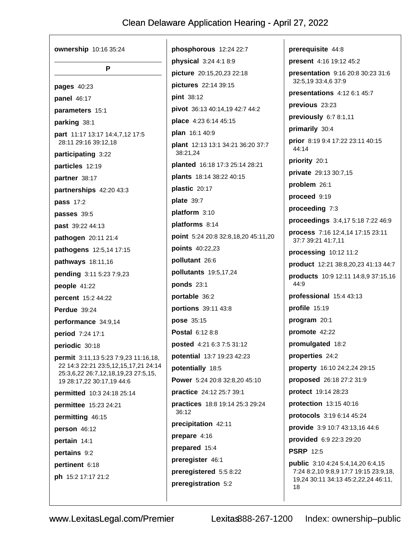| Р                                                                                                                                                |
|--------------------------------------------------------------------------------------------------------------------------------------------------|
| <b>pages</b> 40:23                                                                                                                               |
| panel 46:17                                                                                                                                      |
| parameters 15:1                                                                                                                                  |
| <b>parking</b> 38:1                                                                                                                              |
| part 11:17 13:17 14:4,7,12 17:5<br>28:11 29:16 39:12,18                                                                                          |
| participating 3:22                                                                                                                               |
| particles 12:19                                                                                                                                  |
| partner 38:17                                                                                                                                    |
| partnerships 42:20 43:3                                                                                                                          |
| pass 17:2                                                                                                                                        |
| passes 39:5                                                                                                                                      |
| past 39:22 44:13                                                                                                                                 |
| <b>pathogen</b> 20:11 21:4                                                                                                                       |
| <b>pathogens</b> 12:5,14 17:15                                                                                                                   |
| <b>pathways</b> 18:11,16                                                                                                                         |
| <b>pending</b> 3:11 5:23 7:9,23                                                                                                                  |
| people $41:22$                                                                                                                                   |
| percent 15:2 44:22                                                                                                                               |
| Perdue $39:24$                                                                                                                                   |
| performance 34:9,14                                                                                                                              |
| period 7:24 17:1                                                                                                                                 |
| periodic 30:18                                                                                                                                   |
| permit 3:11,13 5:23 7:9,23 11:16,18,<br>22 14:3 22:21 23:5,12,15,17,21 24:14<br>25:3,6,22 26:7,12,18,19,23 27:5,15,<br>19 28:17,22 30:17,19 44:6 |
| <b>permitted</b> 10:3 24:18 25:14                                                                                                                |
| permittee 15:23 24:21                                                                                                                            |
| permitting 46:15                                                                                                                                 |
| person 46:12                                                                                                                                     |
| pertain 14:1                                                                                                                                     |
| pertains 9:2                                                                                                                                     |
| <b>pertinent</b> 6:18                                                                                                                            |
| <b>ph</b> 15:2 17:17 21:2                                                                                                                        |
|                                                                                                                                                  |

phosphorous 12:24 22:7 physical 3:24 4:1 8:9 picture 20:15,20,23 22:18 pictures 22:14 39:15 pint 38:12 pivot 36:13 40:14,19 42:7 44:2 place 4:23 6:14 45:15 plan 16:1 40:9 **plant** 12:13 13:1 34:21 36:20 37:7 38:21,24 **planted** 16:18 17:3 25:14 28:21 plants 18:14 38:22 40:15 plastic 20:17 plate 39:7 platform 3:10 platforms 8:14 point 5:24 20:8 32:8,18,20 45:11,20 points 40:22,23 pollutant 26:6 pollutants 19:5,17,24 ponds  $23:1$ portable 36:2 portions 39:11 43:8 pose 35:15 **Postal 6:12 8:8 posted** 4:21 6:3 7:5 31:12 potential 13:7 19:23 42:23 potentially 18:5 Power 5:24 20:8 32:8,20 45:10 practice 24:12 25:7 39:1 practices 18:8 19:14 25:3 29:24 36:12 precipitation 42:11 prepare 4:16 prepared 15:4 preregister 46:1 preregistered 5:5 8:22 preregistration 5:2

prerequisite 44:8 present 4:16 19:12 45:2 presentation 9:16 20:8 30:23 31:6 32:5,19 33:4,6 37:9 presentations  $4:126:145:7$ previous 23:23 previously 6:7 8:1,11 primarily 30:4 prior 8:19 9:4 17:22 23:11 40:15 44:14 priority 20:1 private 29:13 30:7,15 problem 26:1 proceed 9:19 proceeding 7:3 proceedings 3:4,17 5:18 7:22 46:9 process 7:16 12:4,14 17:15 23:11 37:7 39:21 41:7,11 processing 10:12 11:2 product 12:21 38:8,20,23 41:13 44:7 **products** 10:9 12:11 14:8,9 37:15,16  $44:9$ professional 15:4 43:13 profile 15:19 program 20:1 promote 42:22 promulgated 18:2 properties 24:2 property 16:10 24:2,24 29:15 proposed 26:18 27:2 31:9 protect 19:14 28:23 protection 13:15 40:16 protocols 3:19 6:14 45:24 provide 3:9 10:7 43:13,16 44:6 provided 6:9 22:3 29:20 **PSRP** 12:5 public 3:10 4:24 5:4,14,20 6:4,15 7:24 8:2,10 9:8,9 17:7 19:15 23:9,18, 19,24 30:11 34:13 45:2,22,24 46:11, 18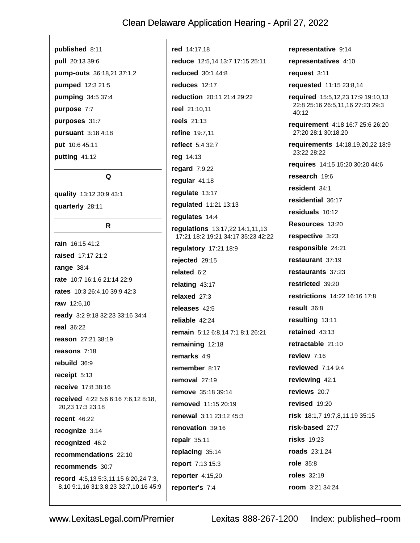#### published 8:11

pull 20:13 39:6 pump-outs 36:18,21 37:1,2 pumped 12:3 21:5 pumping 34:5 37:4 purpose 7:7 purposes 31:7 pursuant 3:18 4:18 put 10:6 45:11 putting 41:12

quality 13:12 30:9 43:1 quarterly 28:11

#### R

Q

rain 16:15 41:2 raised 17:17 21:2 range  $38:4$ rate 10:7 16:1,6 21:14 22:9 rates 10:3 26:4,10 39:9 42:3 raw 12:6,10 ready 3:2 9:18 32:23 33:16 34:4 **real** 36:22 reason 27:21 38:19 reasons 7:18 rebuild 36:9 receipt  $5:13$ receive 17:8 38:16 received 4:22 5:6 6:16 7:6,12 8:18, 20.23 17:3 23:18 recent  $46:22$ recognize 3:14 recognized 46:2 recommendations 22:10 recommends 30:7 record 4:5,13 5:3,11,15 6:20,24 7:3, 8,10 9:1,16 31:3,8,23 32:7,10,16 45:9 red 14:17.18 reduce 12:5,14 13:7 17:15 25:11 **reduced** 30:1 44:8 reduces 12:17 reduction 20:11 21:4 29:22 reel 21:10,11 **reels** 21:13 refine 19:7,11 reflect 5:4 32:7 reg 14:13 regard 7:9,22 regular 41:18 regulate 13:17 regulated 11:21 13:13 regulates 14:4 regulations 13:17,22 14:1,11,13 17:21 18:2 19:21 34:17 35:23 42:22 regulatory 17:21 18:9 rejected 29:15 related  $6:2$ relating  $43:17$ relaxed  $27:3$ releases 42:5 reliable 42:24 remain 5:12 6:8,14 7:1 8:1 26:21 remaining 12:18 remarks 4:9 remember  $8.17$ removal 27:19 remove 35:18 39:14 removed 11:15 20:19 renewal 3:11 23:12 45:3 renovation 39:16 repair  $35:11$ replacing 35:14 report 7:13 15:3 reporter  $4:15,20$ reporter's 7:4

representative 9:14 representatives 4:10 request  $3:11$ requested 11:15 23:8,14 required 15:5,12,23 17:9 19:10,13 22:8 25:16 26:5,11,16 27:23 29:3  $40:12$ requirement 4:18 16:7 25:6 26:20 27:20 28:1 30:18,20 requirements 14:18,19,20,22 18:9 23:22 28:22 requires 14:15 15:20 30:20 44:6 research 19:6 resident 34:1 residential 36:17 residuals 10:12 Resources 13:20 respective 3:23 responsible 24:21 restaurant 37:19 restaurants 37:23 restricted 39:20 restrictions 14:22 16:16 17:8 result 36:8 resulting 13:11 retained  $43:13$ retractable 21:10 review 7.16 reviewed  $7:149:4$ reviewing 42:1 reviews 20:7 revised 19:20 risk 18:1,7 19:7,8,11,19 35:15 risk-based 27:7 **risks** 19:23 roads 23:1,24 role 35:8 **roles** 32:19 room 3:21 34:24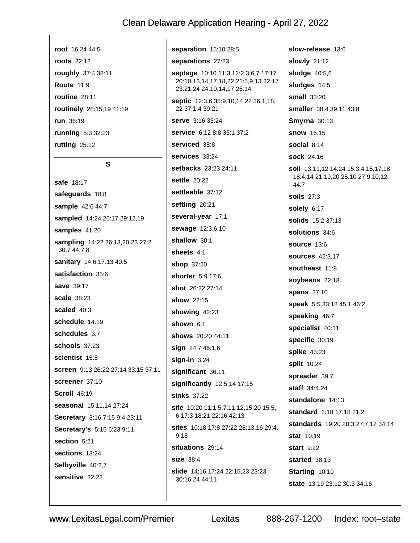root 16:24 44:5 **roots** 22:12 roughly 37:4 38:11 **Route 11:9** routine  $28:11$ routinely 28:15,19 41:19 run 36:19 running 5:3 32:23 rutting 25:12

#### S

safe 18:17 safequards 18:8 sample 42:6 44:7 sampled 14:24 26:17 29:12,19 samples 41:20 sampling 14:22 26:13,20,23 27:2 30:7 44:7,8 sanitary 14:6 17:13 40:5 satisfaction 35:6 save 39:17 **scale** 38:23 scaled 40:3 schedule 14:19 schedules 3.7 schools 37:23 scientist 15:5 screen 9:13 26:22 27:14 33:15 37:11 screener 37:10 **Scroll 46:19** seasonal 15:11.14 27:24 Secretary 3:16 7:15 9:4 23:11 Secretary's 5:15 6:23 9:11 section 5:21 sections 13:24 Selbyville 40:2,7 sensitive 22:22

separation 15:10 28:5 separations 27:23 septage 10:10 11:3 12:2,3,6,7 17:17 20:10,13,14,17,18,22 21:5,9,13 22:17 23:21,24 24:10,14,17 26:14 septic 12:3,6 35:9,10,14,22 36:1,18, 22 37:1,4 39:21 serve 3:16 33:24 service 6:12 8:8 35:1 37:2 serviced 38:8 services 33:24 setbacks 23:23 24:11 settle 20:22 settleable 37:12 settling 20:21 several-year 17:1 sewage 12:3,6,10 shallow 30:1 sheets 4:1 shop 37:20 **shorter** 5:9 17:6 shot 26:22 27:14 show 22:15 showing 42:23 shown 6:1 shows 20:20 44:11 sign 24:7 46:1,6  $sign-in$  3:24 significant 36:11 significantly 12:5,14 17:15 sinks 37:22 site 10:20 11:1,5,7,11,12,15,20 15:5, 6 17:3 18:21 22:16 42:13 sites 10:18 17:8 27:22 28:13.16 29:4. 9.18 situations 29:14 size 38:4 slide 14:16 17:24 22:15,23 23:23 30:16,24 44:11

slow-release 13:6 **slowly** 21:12 sludge  $40:5,6$ sludges 14:5 small  $33:20$ smaller 38:4 39:11 43:8 **Smyrna** 30:13 **snow** 16:15 social  $8:14$ **sock** 24:16 soil 13:11,12 14:24 15:3,4,15,17,18 18:4,14 21:19,20 25:10 27:9,10,12 44:7 **soils** 27:3 solely 6:17 solids 15:2 37:13 solutions 34:6 source 13:6 **sources** 42:3,17 southeast 11:8 soybeans 22:18 **spans** 27:10 speak 5:5 33:18 45:1 46:2 speaking 46:7 specialist 40:11 specific 30:19 spike 43:23 split 10:24 spreader 39:7 staff 34:4.24 standalone 14:13 standard 3:18 17:18 21:2 standards 19:20 20:3 27:7.12 34:14 star 10:19 start  $9.22$ started 38:13 Starting 10:19 state 13:19 23:12 30:3 34:16

Lexitas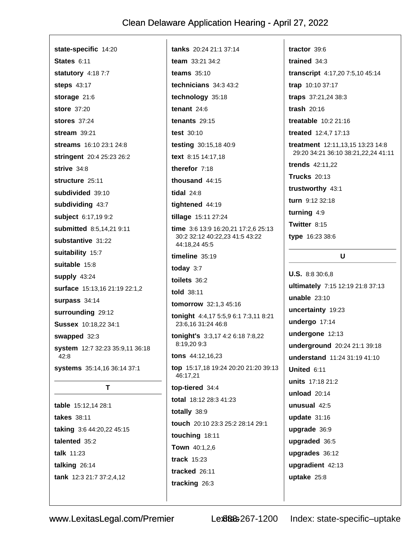| state-specific 14:20            | <b>tanks</b> $20:24$ 21:1 37:14                  | tractor $39:6$                          |
|---------------------------------|--------------------------------------------------|-----------------------------------------|
| States 6:11                     | team 33:21 34:2                                  | trained $34:3$                          |
| <b>statutory</b> 4:18 7:7       | teams $35:10$                                    | transcript 4:17,20 7:5,10 45:14         |
| <b>steps</b> 43:17              | technicians $34:343:2$                           | trap 10:10 37:17                        |
| storage $21:6$                  | technology 35:18                                 | traps 37:21,24 38:3                     |
| <b>store</b> 37:20              | tenant $24:6$                                    | trash $20:16$                           |
| <b>stores</b> 37:24             | tenants $29:15$                                  | <b>treatable</b> 10:2 21:16             |
| stream $39:21$                  | test $30:10$                                     | treated 12:4,7 17:13                    |
| <b>streams</b> 16:10 23:1 24:8  | testing 30:15,18 40:9                            | <b>treatment</b> 12:11,13,15 13:23 14:8 |
| stringent 20:4 25:23 26:2       | text 8:15 14:17,18                               | 29:20 34:21 36:10 38:21, 22, 24 41:11   |
| strive $34:8$                   | therefor 7:18                                    | <b>trends</b> 42:11,22                  |
| structure 25:11                 | thousand 44:15                                   | <b>Trucks</b> 20:13                     |
| subdivided 39:10                | tidal $24:8$                                     | trustworthy 43:1                        |
| subdividing 43:7                | tightened 44:19                                  | turn 9:12 32:18                         |
| subject 6:17,19 9:2             | tillage 15:11 27:24                              | turning $4:9$                           |
| submitted 8:5,14,21 9:11        | time $3:6$ 13:9 16:20,21 17:2,6 25:13            | Twitter 8:15                            |
| substantive 31:22               | 30:2 32:12 40:22,23 41:5 43:22<br>44:18,24 45:5  | type 16:23 38:6                         |
| suitability 15:7                | timeline $35:19$                                 | U                                       |
| suitable 15:8                   | today $3:7$                                      |                                         |
| supply 43:24                    | toilets 36:2                                     | <b>U.S.</b> 8:8 30:6,8                  |
| surface 15:13,16 21:19 22:1,2   | told 38:11                                       | ultimately 7:15 12:19 21:8 37:13        |
| surpass 34:14                   | <b>tomorrow</b> 32:1,3 45:16                     | unable $23:10$                          |
| surrounding 29:12               | tonight 4:4,17 5:5,9 6:1 7:3,11 8:21             | uncertainty 19:23                       |
| Sussex 10:18,22 34:1            | 23:6,16 31:24 46:8                               | undergo 17:14                           |
| swapped 32:3                    | tonight's 3:3,17 4:2 6:18 7:8,22                 | undergone 12:13                         |
| system 12:7 32:23 35:9,11 36:18 | 8:19,209:3                                       | underground 20:24 21:1 39:18            |
| 42:8                            | <b>tons</b> $44:12,16,23$                        | understand 11:24 31:19 41:10            |
| systems 35:14,16 36:14 37:1     | top 15:17,18 19:24 20:20 21:20 39:13<br>46:17,21 | United 6:11                             |
| Τ                               | top-tiered 34:4                                  | units 17:18 21:2                        |
|                                 | total 18:12 28:3 41:23                           | unload 20:14                            |
| table 15:12,14 28:1             | totally 38:9                                     | unusual 42:5                            |
| takes 38:11                     | touch 20:10 23:3 25:2 28:14 29:1                 | update $31:16$                          |
| taking 3:6 44:20,22 45:15       | touching 18:11                                   | upgrade 36:9                            |
| talented 35:2                   | Town 40:1,2,6                                    | upgraded 36:5                           |
| talk 11:23                      | track 15:23                                      | upgrades 36:12                          |
| talking 26:14                   | tracked 26:11                                    | upgradient 42:13                        |
|                                 |                                                  |                                         |

tracking 26:3

tank 12:3 21:7 37:2,4,12

www.LexitasLegal.com/Premier

Lex8888-267-1200 Index: state-specific-uptake

uptake 25:8